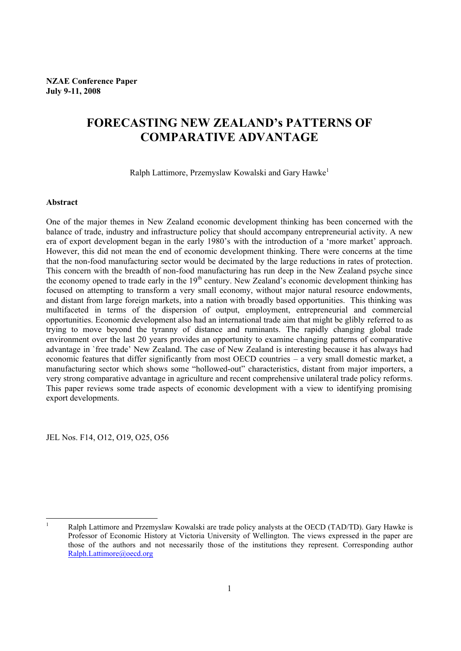# **FORECASTING NEW ZEALAND's PATTERNS OF COMPARATIVE ADVANTAGE**

Ralph Lattimore, Przemyslaw Kowalski and Gary Hawke<sup>1</sup>

#### **Abstract**

One of the major themes in New Zealand economic development thinking has been concerned with the balance of trade, industry and infrastructure policy that should accompany entrepreneurial activity. A new era of export development began in the early 1980's with the introduction of a 'more market' approach. However, this did not mean the end of economic development thinking. There were concerns at the time that the non-food manufacturing sector would be decimated by the large reductions in rates of protection. This concern with the breadth of non-food manufacturing has run deep in the New Zealand psyche since the economy opened to trade early in the 19<sup>th</sup> century. New Zealand's economic development thinking has focused on attempting to transform a very small economy, without major natural resource endowments, and distant from large foreign markets, into a nation with broadly based opportunities. This thinking was multifaceted in terms of the dispersion of output, employment, entrepreneurial and commercial opportunities. Economic development also had an international trade aim that might be glibly referred to as trying to move beyond the tyranny of distance and ruminants. The rapidly changing global trade environment over the last 20 years provides an opportunity to examine changing patterns of comparative advantage in `free trade' New Zealand. The case of New Zealand is interesting because it has always had economic features that differ significantly from most OECD countries – a very small domestic market, a manufacturing sector which shows some "hollowed-out" characteristics, distant from major importers, a very strong comparative advantage in agriculture and recent comprehensive unilateral trade policy reforms. This paper reviews some trade aspects of economic development with a view to identifying promising export developments.

JEL Nos. F14, O12, O19, O25, O56

 $\mathbf{1}$ Ralph Lattimore and Przemyslaw Kowalski are trade policy analysts at the OECD (TAD/TD). Gary Hawke is Professor of Economic History at Victoria University of Wellington. The views expressed in the paper are those of the authors and not necessarily those of the institutions they represent. Corresponding author Ralph.Lattimore@oecd.org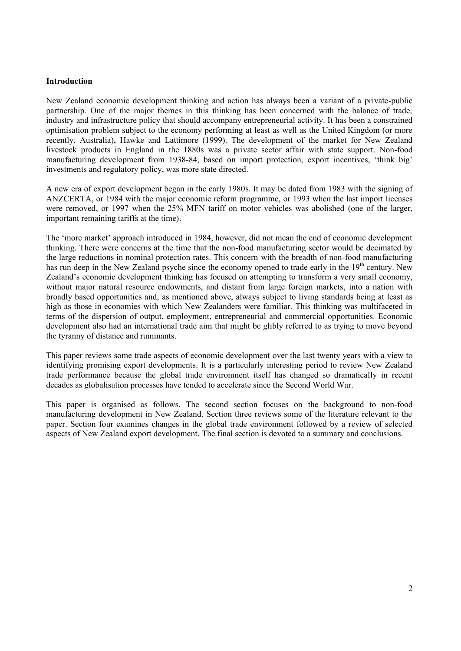### **Introduction**

New Zealand economic development thinking and action has always been a variant of a private-public partnership. One of the major themes in this thinking has been concerned with the balance of trade, industry and infrastructure policy that should accompany entrepreneurial activity. It has been a constrained optimisation problem subject to the economy performing at least as well as the United Kingdom (or more recently, Australia), Hawke and Lattimore (1999). The development of the market for New Zealand livestock products in England in the 1880s was a private sector affair with state support. Non-food manufacturing development from 1938-84, based on import protection, export incentives, 'think big' investments and regulatory policy, was more state directed.

A new era of export development began in the early 1980s. It may be dated from 1983 with the signing of ANZCERTA, or 1984 with the major economic reform programme, or 1993 when the last import licenses were removed, or 1997 when the 25% MFN tariff on motor vehicles was abolished (one of the larger, important remaining tariffs at the time).

The 'more market' approach introduced in 1984, however, did not mean the end of economic development thinking. There were concerns at the time that the non-food manufacturing sector would be decimated by the large reductions in nominal protection rates. This concern with the breadth of non-food manufacturing has run deep in the New Zealand psyche since the economy opened to trade early in the 19<sup>th</sup> century. New Zealand's economic development thinking has focused on attempting to transform a very small economy, without major natural resource endowments, and distant from large foreign markets, into a nation with broadly based opportunities and, as mentioned above, always subject to living standards being at least as high as those in economies with which New Zealanders were familiar. This thinking was multifaceted in terms of the dispersion of output, employment, entrepreneurial and commercial opportunities. Economic development also had an international trade aim that might be glibly referred to as trying to move beyond the tyranny of distance and ruminants.

This paper reviews some trade aspects of economic development over the last twenty years with a view to identifying promising export developments. It is a particularly interesting period to review New Zealand trade performance because the global trade environment itself has changed so dramatically in recent decades as globalisation processes have tended to accelerate since the Second World War.

This paper is organised as follows. The second section focuses on the background to non-food manufacturing development in New Zealand. Section three reviews some of the literature relevant to the paper. Section four examines changes in the global trade environment followed by a review of selected aspects of New Zealand export development. The final section is devoted to a summary and conclusions.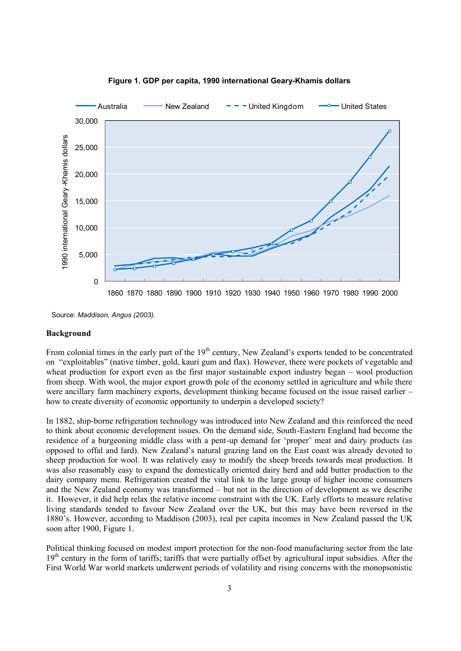

**Figure 1. GDP per capita, 1990 international Geary-Khamis dollars**

Source: *Maddison, Angus (2003).*

#### **Background**

From colonial times in the early part of the 19<sup>th</sup> century, New Zealand's exports tended to be concentrated on "exploitables" (native timber, gold, kauri gum and flax). However, there were pockets of vegetable and wheat production for export even as the first major sustainable export industry began – wool production from sheep. With wool, the major export growth pole of the economy settled in agriculture and while there were ancillary farm machinery exports, development thinking became focused on the issue raised earlier – how to create diversity of economic opportunity to underpin a developed society?

In 1882, ship-borne refrigeration technology was introduced into New Zealand and this reinforced the need to think about economic development issues. On the demand side, South-Eastern England had become the residence of a burgeoning middle class with a pent-up demand for 'proper' meat and dairy products (as opposed to offal and lard). New Zealand's natural grazing land on the East coast was already devoted to sheep production for wool. It was relatively easy to modify the sheep breeds towards meat production. It was also reasonably easy to expand the domestically oriented dairy herd and add butter production to the dairy company menu. Refrigeration created the vital link to the large group of higher income consumers and the New Zealand economy was transformed – but not in the direction of development as we describe it. However, it did help relax the relative income constraint with the UK. Early efforts to measure relative living standards tended to favour New Zealand over the UK, but this may have been reversed in the 1880's. However, according to Maddison (2003), real per capita incomes in New Zealand passed the UK soon after 1900, Figure 1.

Political thinking focused on modest import protection for the non-food manufacturing sector from the late 19<sup>th</sup> century in the form of tariffs; tariffs that were partially offset by agricultural input subsidies. After the First World War world markets underwent periods of volatility and rising concerns with the monopsonistic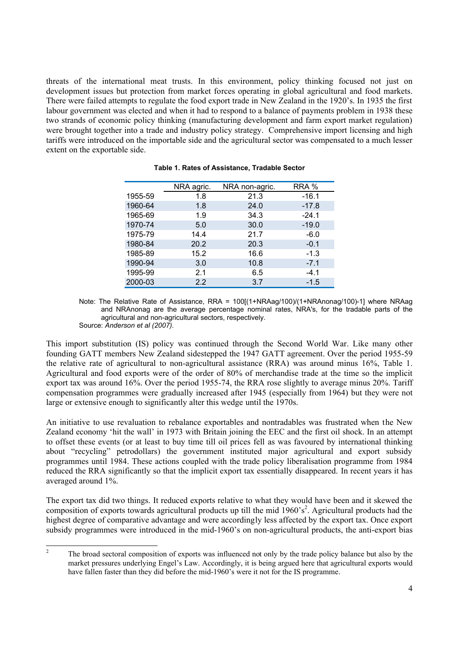threats of the international meat trusts. In this environment, policy thinking focused not just on development issues but protection from market forces operating in global agricultural and food markets. There were failed attempts to regulate the food export trade in New Zealand in the 1920's. In 1935 the first labour government was elected and when it had to respond to a balance of payments problem in 1938 these two strands of economic policy thinking (manufacturing development and farm export market regulation) were brought together into a trade and industry policy strategy. Comprehensive import licensing and high tariffs were introduced on the importable side and the agricultural sector was compensated to a much lesser extent on the exportable side.

|         | NRA agric. | NRA non-agric. | RRA %   |
|---------|------------|----------------|---------|
| 1955-59 | 1.8        | 21.3           | $-16.1$ |
| 1960-64 | 1.8        | 24.0           | $-17.8$ |
| 1965-69 | 1.9        | 34.3           | $-24.1$ |
| 1970-74 | 5.0        | 30.0           | $-19.0$ |
| 1975-79 | 14.4       | 21.7           | $-6.0$  |
| 1980-84 | 20.2       | 20.3           | $-0.1$  |
| 1985-89 | 15.2       | 16.6           | $-1.3$  |
| 1990-94 | 3.0        | 10.8           | $-7.1$  |
| 1995-99 | 2.1        | 6.5            | $-4.1$  |
| 2000-03 | 2.2        | 3.7            | $-1.5$  |

**Table 1. Rates of Assistance, Tradable Sector**

Note: The Relative Rate of Assistance, RRA = 100[(1+NRAag/100)/(1+NRAnonag/100)-1] where NRAag and NRAnonag are the average percentage nominal rates, NRA's, for the tradable parts of the agricultural and non-agricultural sectors, respectively.

Source: *Anderson et al (2007).*

This import substitution (IS) policy was continued through the Second World War. Like many other founding GATT members New Zealand sidestepped the 1947 GATT agreement. Over the period 1955-59 the relative rate of agricultural to non-agricultural assistance (RRA) was around minus 16%, Table 1. Agricultural and food exports were of the order of 80% of merchandise trade at the time so the implicit export tax was around 16%. Over the period 1955-74, the RRA rose slightly to average minus 20%. Tariff compensation programmes were gradually increased after 1945 (especially from 1964) but they were not large or extensive enough to significantly alter this wedge until the 1970s.

An initiative to use revaluation to rebalance exportables and nontradables was frustrated when the New Zealand economy 'hit the wall' in 1973 with Britain joining the EEC and the first oil shock. In an attempt to offset these events (or at least to buy time till oil prices fell as was favoured by international thinking about "recycling" petrodollars) the government instituted major agricultural and export subsidy programmes until 1984. These actions coupled with the trade policy liberalisation programme from 1984 reduced the RRA significantly so that the implicit export tax essentially disappeared. In recent years it has averaged around 1%.

The export tax did two things. It reduced exports relative to what they would have been and it skewed the composition of exports towards agricultural products up till the mid  $1960 \degree$   $s^2$ . Agricultural products had the highest degree of comparative advantage and were accordingly less affected by the export tax. Once export subsidy programmes were introduced in the mid-1960's on non-agricultural products, the anti-export bias

 $\overline{2}$ <sup>2</sup> The broad sectoral composition of exports was influenced not only by the trade policy balance but also by the market pressures underlying Engel's Law. Accordingly, it is being argued here that agricultural exports would have fallen faster than they did before the mid-1960's were it not for the IS programme.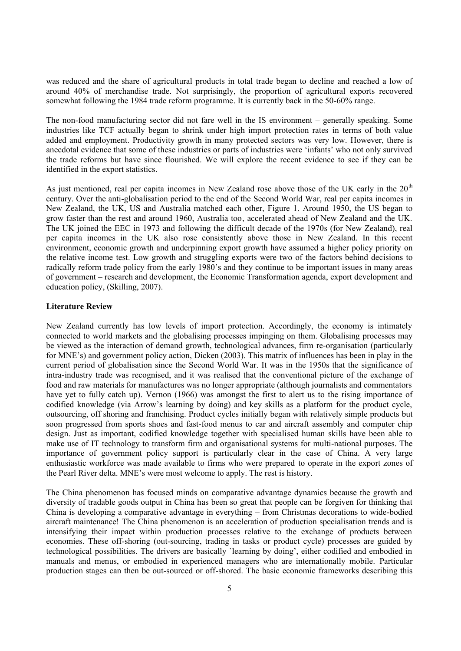was reduced and the share of agricultural products in total trade began to decline and reached a low of around 40% of merchandise trade. Not surprisingly, the proportion of agricultural exports recovered somewhat following the 1984 trade reform programme. It is currently back in the 50-60% range.

The non-food manufacturing sector did not fare well in the IS environment – generally speaking. Some industries like TCF actually began to shrink under high import protection rates in terms of both value added and employment. Productivity growth in many protected sectors was very low. However, there is anecdotal evidence that some of these industries or parts of industries were 'infants' who not only survived the trade reforms but have since flourished. We will explore the recent evidence to see if they can be identified in the export statistics.

As just mentioned, real per capita incomes in New Zealand rose above those of the UK early in the  $20<sup>th</sup>$ century. Over the anti-globalisation period to the end of the Second World War, real per capita incomes in New Zealand, the UK, US and Australia matched each other, Figure 1. Around 1950, the US began to grow faster than the rest and around 1960, Australia too, accelerated ahead of New Zealand and the UK. The UK joined the EEC in 1973 and following the difficult decade of the 1970s (for New Zealand), real per capita incomes in the UK also rose consistently above those in New Zealand. In this recent environment, economic growth and underpinning export growth have assumed a higher policy priority on the relative income test. Low growth and struggling exports were two of the factors behind decisions to radically reform trade policy from the early 1980's and they continue to be important issues in many areas of government – research and development, the Economic Transformation agenda, export development and education policy, (Skilling, 2007).

# **Literature Review**

New Zealand currently has low levels of import protection. Accordingly, the economy is intimately connected to world markets and the globalising processes impinging on them. Globalising processes may be viewed as the interaction of demand growth, technological advances, firm re-organisation (particularly for MNE's) and government policy action, Dicken (2003). This matrix of influences has been in play in the current period of globalisation since the Second World War. It was in the 1950s that the significance of intra-industry trade was recognised, and it was realised that the conventional picture of the exchange of food and raw materials for manufactures was no longer appropriate (although journalists and commentators have yet to fully catch up). Vernon (1966) was amongst the first to alert us to the rising importance of codified knowledge (via Arrow's learning by doing) and key skills as a platform for the product cycle, outsourcing, off shoring and franchising. Product cycles initially began with relatively simple products but soon progressed from sports shoes and fast-food menus to car and aircraft assembly and computer chip design. Just as important, codified knowledge together with specialised human skills have been able to make use of IT technology to transform firm and organisational systems for multi-national purposes. The importance of government policy support is particularly clear in the case of China. A very large enthusiastic workforce was made available to firms who were prepared to operate in the export zones of the Pearl River delta. MNE's were most welcome to apply. The rest is history.

The China phenomenon has focused minds on comparative advantage dynamics because the growth and diversity of tradable goods output in China has been so great that people can be forgiven for thinking that China is developing a comparative advantage in everything – from Christmas decorations to wide-bodied aircraft maintenance! The China phenomenon is an acceleration of production specialisation trends and is intensifying their impact within production processes relative to the exchange of products between economies. These off-shoring (out-sourcing, trading in tasks or product cycle) processes are guided by technological possibilities. The drivers are basically `learning by doing', either codified and embodied in manuals and menus, or embodied in experienced managers who are internationally mobile. Particular production stages can then be out-sourced or off-shored. The basic economic frameworks describing this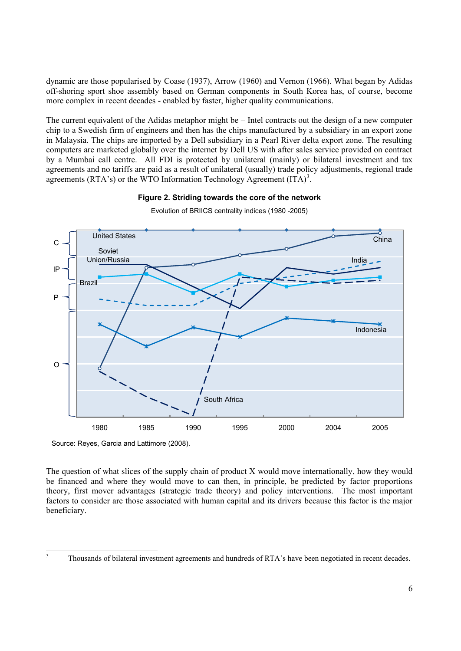dynamic are those popularised by Coase (1937), Arrow (1960) and Vernon (1966). What began by Adidas off-shoring sport shoe assembly based on German components in South Korea has, of course, become more complex in recent decades - enabled by faster, higher quality communications.

The current equivalent of the Adidas metaphor might be – Intel contracts out the design of a new computer chip to a Swedish firm of engineers and then has the chips manufactured by a subsidiary in an export zone in Malaysia. The chips are imported by a Dell subsidiary in a Pearl River delta export zone. The resulting computers are marketed globally over the internet by Dell US with after sales service provided on contract by a Mumbai call centre. All FDI is protected by unilateral (mainly) or bilateral investment and tax agreements and no tariffs are paid as a result of unilateral (usually) trade policy adjustments, regional trade agreements (RTA's) or the WTO Information Technology Agreement  $(ITA)^3$ .

# **Figure 2. Striding towards the core of the network**



Evolution of BRIICS centrality indices (1980 -2005)

Source: Reyes, Garcia and Lattimore (2008).

The question of what slices of the supply chain of product X would move internationally, how they would be financed and where they would move to can then, in principle, be predicted by factor proportions theory, first mover advantages (strategic trade theory) and policy interventions. The most important factors to consider are those associated with human capital and its drivers because this factor is the major beneficiary.

 $\overline{\mathbf{3}}$ <sup>3</sup> Thousands of bilateral investment agreements and hundreds of RTA's have been negotiated in recent decades.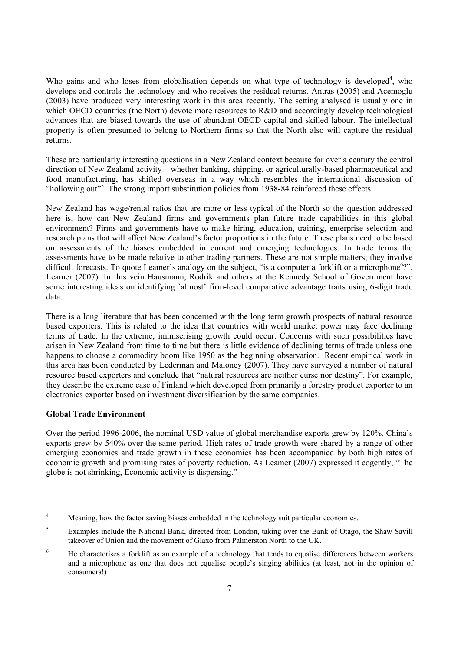Who gains and who loses from globalisation depends on what type of technology is developed<sup>4</sup>, who develops and controls the technology and who receives the residual returns. Antras (2005) and Acemoglu (2003) have produced very interesting work in this area recently. The setting analysed is usually one in which OECD countries (the North) devote more resources to R&D and accordingly develop technological advances that are biased towards the use of abundant OECD capital and skilled labour. The intellectual property is often presumed to belong to Northern firms so that the North also will capture the residual returns.

These are particularly interesting questions in a New Zealand context because for over a century the central direction of New Zealand activity – whether banking, shipping, or agriculturally-based pharmaceutical and food manufacturing, has shifted overseas in a way which resembles the international discussion of "hollowing out"<sup>5</sup>. The strong import substitution policies from 1938-84 reinforced these effects.

New Zealand has wage/rental ratios that are more or less typical of the North so the question addressed here is, how can New Zealand firms and governments plan future trade capabilities in this global environment? Firms and governments have to make hiring, education, training, enterprise selection and research plans that will affect New Zealand's factor proportions in the future. These plans need to be based on assessments of the biases embedded in current and emerging technologies. In trade terms the assessments have to be made relative to other trading partners. These are not simple matters; they involve difficult forecasts. To quote Leamer's analogy on the subject, "is a computer a forklift or a microphone<sup>6</sup>?", Leamer (2007). In this vein Hausmann, Rodrik and others at the Kennedy School of Government have some interesting ideas on identifying 'almost' firm-level comparative advantage traits using 6-digit trade data.

There is a long literature that has been concerned with the long term growth prospects of natural resource based exporters. This is related to the idea that countries with world market power may face declining terms of trade. In the extreme, immiserising growth could occur. Concerns with such possibilities have arisen in New Zealand from time to time but there is little evidence of declining terms of trade unless one happens to choose a commodity boom like 1950 as the beginning observation. Recent empirical work in this area has been conducted by Lederman and Maloney (2007). They have surveyed a number of natural resource based exporters and conclude that "natural resources are neither curse nor destiny". For example, they describe the extreme case of Finland which developed from primarily a forestry product exporter to an electronics exporter based on investment diversification by the same companies.

# **Global Trade Environment**

Over the period 1996-2006, the nominal USD value of global merchandise exports grew by 120%. China's exports grew by 540% over the same period. High rates of trade growth were shared by a range of other emerging economies and trade growth in these economies has been accompanied by both high rates of economic growth and promising rates of poverty reduction. As Leamer (2007) expressed it cogently, "The globe is not shrinking, Economic activity is dispersing."

 $\overline{4}$ Meaning, how the factor saving biases embedded in the technology suit particular economies.

<sup>&</sup>lt;sup>5</sup> Examples include the National Bank, directed from London, taking over the Bank of Otago, the Shaw Savill takeover of Union and the movement of Glaxo from Palmerston North to the UK.

<sup>&</sup>lt;sup>6</sup> He characterises a forklift as an example of a technology that tends to equalise differences between workers and a microphone as one that does not equalise people's singing abilities (at least, not in the opinion of consumers!)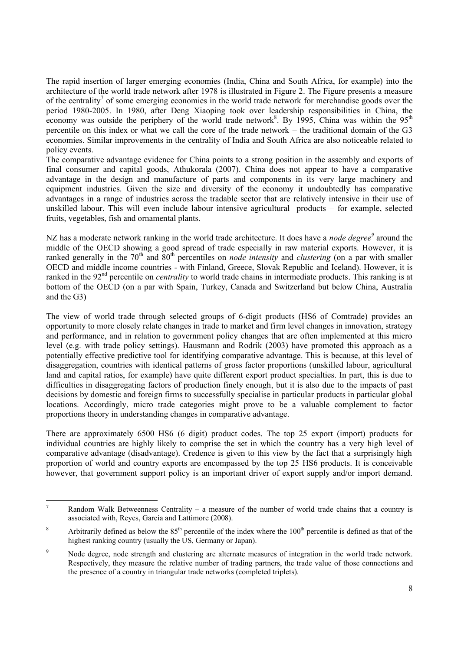The rapid insertion of larger emerging economies (India, China and South Africa, for example) into the architecture of the world trade network after 1978 is illustrated in Figure 2. The Figure presents a measure of the centrality<sup>7</sup> of some emerging economies in the world trade network for merchandise goods over the period 1980-2005. In 1980, after Deng Xiaoping took over leadership responsibilities in China, the economy was outside the periphery of the world trade network<sup>8</sup>. By 1995, China was within the 95<sup>th</sup> percentile on this index or what we call the core of the trade network – the traditional domain of the G3 economies. Similar improvements in the centrality of India and South Africa are also noticeable related to policy events.

The comparative advantage evidence for China points to a strong position in the assembly and exports of final consumer and capital goods, Athukorala (2007). China does not appear to have a comparative advantage in the design and manufacture of parts and components in its very large machinery and equipment industries. Given the size and diversity of the economy it undoubtedly has comparative advantages in a range of industries across the tradable sector that are relatively intensive in their use of unskilled labour. This will even include labour intensive agricultural products – for example, selected fruits, vegetables, fish and ornamental plants.

NZ has a moderate network ranking in the world trade architecture. It does have a *node degree*<sup>9</sup> around the middle of the OECD showing a good spread of trade especially in raw material exports. However, it is ranked generally in the 70<sup>th</sup> and 80<sup>th</sup> percentiles on *node intensity* and *clustering* (on a par with smaller OECD and middle income countries - with Finland, Greece, Slovak Republic and Iceland). However, it is ranked in the 92<sup>nd</sup> percentile on *centrality* to world trade chains in intermediate products. This ranking is at bottom of the OECD (on a par with Spain, Turkey, Canada and Switzerland but below China, Australia and the G3)

The view of world trade through selected groups of 6-digit products (HS6 of Comtrade) provides an opportunity to more closely relate changes in trade to market and firm level changes in innovation, strategy and performance, and in relation to government policy changes that are often implemented at this micro level (e.g. with trade policy settings). Hausmann and Rodrik (2003) have promoted this approach as a potentially effective predictive tool for identifying comparative advantage. This is because, at this level of disaggregation, countries with identical patterns of gross factor proportions (unskilled labour, agricultural land and capital ratios, for example) have quite different export product specialties. In part, this is due to difficulties in disaggregating factors of production finely enough, but it is also due to the impacts of past decisions by domestic and foreign firms to successfully specialise in particular products in particular global locations. Accordingly, micro trade categories might prove to be a valuable complement to factor proportions theory in understanding changes in comparative advantage.

There are approximately 6500 HS6 (6 digit) product codes. The top 25 export (import) products for individual countries are highly likely to comprise the set in which the country has a very high level of comparative advantage (disadvantage). Credence is given to this view by the fact that a surprisingly high proportion of world and country exports are encompassed by the top 25 HS6 products. It is conceivable however, that government support policy is an important driver of export supply and/or import demand.

 $\overline{7}$ <sup>7</sup> Random Walk Betweenness Centrality – a measure of the number of world trade chains that a country is associated with, Reyes, Garcia and Lattimore (2008).

<sup>&</sup>lt;sup>8</sup> Arbitrarily defined as below the  $85<sup>th</sup>$  percentile of the index where the  $100<sup>th</sup>$  percentile is defined as that of the highest ranking country (usually the US, Germany or Japan).

<sup>&</sup>lt;sup>9</sup> Node degree, node strength and clustering are alternate measures of integration in the world trade network. Respectively, they measure the relative number of trading partners, the trade value of those connections and the presence of a country in triangular trade networks (completed triplets).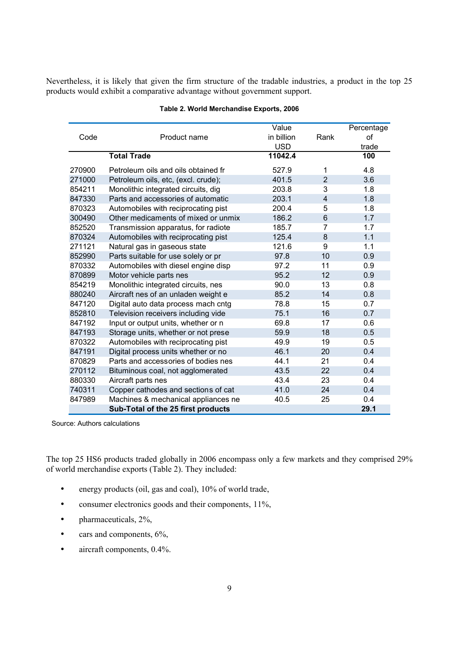Nevertheless, it is likely that given the firm structure of the tradable industries, a product in the top 25 products would exhibit a comparative advantage without government support.

|        |                                     | Value      |                | Percentage |
|--------|-------------------------------------|------------|----------------|------------|
| Code   | Product name                        | in billion | Rank           | of         |
|        |                                     | <b>USD</b> |                | trade      |
|        | <b>Total Trade</b>                  | 11042.4    |                | 100        |
| 270900 | Petroleum oils and oils obtained fr | 527.9      | 1              | 4.8        |
| 271000 | Petroleum oils, etc, (excl. crude); | 401.5      | $\overline{2}$ | 3.6        |
| 854211 | Monolithic integrated circuits, dig | 203.8      | 3              | 1.8        |
| 847330 | Parts and accessories of automatic  | 203.1      | $\overline{4}$ | 1.8        |
| 870323 | Automobiles with reciprocating pist | 200.4      | 5              | 1.8        |
| 300490 | Other medicaments of mixed or unmix | 186.2      | 6              | 1.7        |
| 852520 | Transmission apparatus, for radiote | 185.7      | $\overline{7}$ | 1.7        |
| 870324 | Automobiles with reciprocating pist | 125.4      | 8              | 1.1        |
| 271121 | Natural gas in gaseous state        | 121.6      | 9              | 1.1        |
| 852990 | Parts suitable for use solely or pr | 97.8       | 10             | 0.9        |
| 870332 | Automobiles with diesel engine disp | 97.2       | 11             | 0.9        |
| 870899 | Motor vehicle parts nes             | 95.2       | 12             | 0.9        |
| 854219 | Monolithic integrated circuits, nes | 90.0       | 13             | 0.8        |
| 880240 | Aircraft nes of an unladen weight e | 85.2       | 14             | 0.8        |
| 847120 | Digital auto data process mach cntg | 78.8       | 15             | 0.7        |
| 852810 | Television receivers including vide | 75.1       | 16             | 0.7        |
| 847192 | Input or output units, whether or n | 69.8       | 17             | 0.6        |
| 847193 | Storage units, whether or not prese | 59.9       | 18             | 0.5        |
| 870322 | Automobiles with reciprocating pist | 49.9       | 19             | 0.5        |
| 847191 | Digital process units whether or no | 46.1       | 20             | 0.4        |
| 870829 | Parts and accessories of bodies nes | 44.1       | 21             | 0.4        |
| 270112 | Bituminous coal, not agglomerated   | 43.5       | 22             | 0.4        |
| 880330 | Aircraft parts nes                  | 43.4       | 23             | 0.4        |
| 740311 | Copper cathodes and sections of cat | 41.0       | 24             | 0.4        |
| 847989 | Machines & mechanical appliances ne | 40.5       | 25             | 0.4        |
|        | Sub-Total of the 25 first products  |            |                | 29.1       |

# **Table 2. World Merchandise Exports, 2006**

Source: Authors calculations

The top 25 HS6 products traded globally in 2006 encompass only a few markets and they comprised 29% of world merchandise exports (Table 2). They included:

- energy products (oil, gas and coal), 10% of world trade,
- consumer electronics goods and their components, 11%,
- pharmaceuticals, 2%,
- cars and components,  $6\%,$
- aircraft components, 0.4%.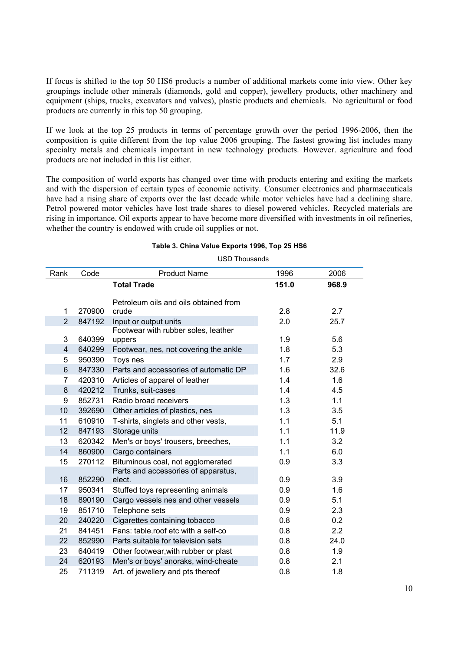If focus is shifted to the top 50 HS6 products a number of additional markets come into view. Other key groupings include other minerals (diamonds, gold and copper), jewellery products, other machinery and equipment (ships, trucks, excavators and valves), plastic products and chemicals. No agricultural or food products are currently in this top 50 grouping.

If we look at the top 25 products in terms of percentage growth over the period 1996-2006, then the composition is quite different from the top value 2006 grouping. The fastest growing list includes many specialty metals and chemicals important in new technology products. However. agriculture and food products are not included in this list either.

The composition of world exports has changed over time with products entering and exiting the markets and with the dispersion of certain types of economic activity. Consumer electronics and pharmaceuticals have had a rising share of exports over the last decade while motor vehicles have had a declining share. Petrol powered motor vehicles have lost trade shares to diesel powered vehicles. Recycled materials are rising in importance. Oil exports appear to have become more diversified with investments in oil refineries, whether the country is endowed with crude oil supplies or not.

#### **Table 3. China Value Exports 1996, Top 25 HS6**

USD Thousands

| Rank                    | Code   | <b>Product Name</b>                   | 1996  | 2006  |
|-------------------------|--------|---------------------------------------|-------|-------|
|                         |        | <b>Total Trade</b>                    | 151.0 | 968.9 |
|                         |        | Petroleum oils and oils obtained from |       |       |
| 1                       | 270900 | crude                                 | 2.8   | 2.7   |
| $\overline{2}$          | 847192 | Input or output units                 | 2.0   | 25.7  |
|                         |        | Footwear with rubber soles, leather   |       |       |
| 3                       | 640399 | uppers                                | 1.9   | 5.6   |
| $\overline{\mathbf{4}}$ | 640299 | Footwear, nes, not covering the ankle | 1.8   | 5.3   |
| 5                       | 950390 | Toys nes                              | 1.7   | 2.9   |
| 6                       | 847330 | Parts and accessories of automatic DP | 1.6   | 32.6  |
| $\overline{7}$          | 420310 | Articles of apparel of leather        | 1.4   | 1.6   |
| 8                       | 420212 | Trunks, suit-cases                    | 1.4   | 4.5   |
| 9                       | 852731 | Radio broad receivers                 | 1.3   | 1.1   |
| 10                      | 392690 | Other articles of plastics, nes       | 1.3   | 3.5   |
| 11                      | 610910 | T-shirts, singlets and other vests,   | 1.1   | 5.1   |
| 12                      | 847193 | Storage units                         | 1.1   | 11.9  |
| 13                      | 620342 | Men's or boys' trousers, breeches,    | 1.1   | 3.2   |
| 14                      | 860900 | Cargo containers                      | 1.1   | 6.0   |
| 15                      | 270112 | Bituminous coal, not agglomerated     | 0.9   | 3.3   |
|                         |        | Parts and accessories of apparatus,   |       |       |
| 16                      | 852290 | elect.                                | 0.9   | 3.9   |
| 17                      | 950341 | Stuffed toys representing animals     | 0.9   | 1.6   |
| 18                      | 890190 | Cargo vessels nes and other vessels   | 0.9   | 5.1   |
| 19                      | 851710 | Telephone sets                        | 0.9   | 2.3   |
| 20                      | 240220 | Cigarettes containing tobacco         | 0.8   | 0.2   |
| 21                      | 841451 | Fans: table, roof etc with a self-co  | 0.8   | 2.2   |
| 22                      | 852990 | Parts suitable for television sets    | 0.8   | 24.0  |
| 23                      | 640419 | Other footwear, with rubber or plast  | 0.8   | 1.9   |
| 24                      | 620193 | Men's or boys' anoraks, wind-cheate   | 0.8   | 2.1   |
| 25                      | 711319 | Art. of jewellery and pts thereof     | 0.8   | 1.8   |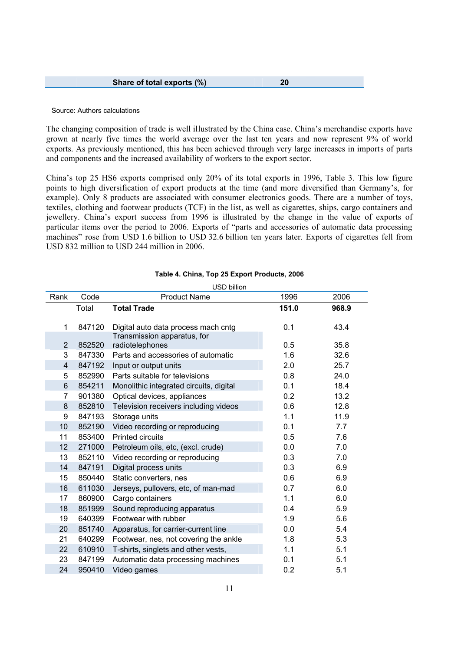| Share of total exports (%) |  |  |
|----------------------------|--|--|
|----------------------------|--|--|

#### Source: Authors calculations

The changing composition of trade is well illustrated by the China case. China's merchandise exports have grown at nearly five times the world average over the last ten years and now represent 9% of world exports. As previously mentioned, this has been achieved through very large increases in imports of parts and components and the increased availability of workers to the export sector.

China's top 25 HS6 exports comprised only 20% of its total exports in 1996, Table 3. This low figure points to high diversification of export products at the time (and more diversified than Germany's, for example). Only 8 products are associated with consumer electronics goods. There are a number of toys, textiles, clothing and footwear products (TCF) in the list, as well as cigarettes, ships, cargo containers and jewellery. China's export success from 1996 is illustrated by the change in the value of exports of particular items over the period to 2006. Exports of "parts and accessories of automatic data processing machines" rose from USD 1.6 billion to USD 32.6 billion ten years later. Exports of cigarettes fell from USD 832 million to USD 244 million in 2006.

|                |        | ווטווווט שטט                            |       |       |
|----------------|--------|-----------------------------------------|-------|-------|
| Rank           | Code   | <b>Product Name</b>                     | 1996  | 2006  |
|                | Total  | <b>Total Trade</b>                      | 151.0 | 968.9 |
| 1              | 847120 | Digital auto data process mach cntg     | 0.1   | 43.4  |
|                |        | Transmission apparatus, for             |       |       |
| $\overline{2}$ | 852520 | radiotelephones                         | 0.5   | 35.8  |
| 3              | 847330 | Parts and accessories of automatic      | 1.6   | 32.6  |
| 4              | 847192 | Input or output units                   | 2.0   | 25.7  |
| 5              | 852990 | Parts suitable for televisions          | 0.8   | 24.0  |
| 6              | 854211 | Monolithic integrated circuits, digital | 0.1   | 18.4  |
| 7              | 901380 | Optical devices, appliances             | 0.2   | 13.2  |
| 8              | 852810 | Television receivers including videos   | 0.6   | 12.8  |
| 9              | 847193 | Storage units                           | 1.1   | 11.9  |
| 10             | 852190 | Video recording or reproducing          | 0.1   | 7.7   |
| 11             | 853400 | <b>Printed circuits</b>                 | 0.5   | 7.6   |
| 12             | 271000 | Petroleum oils, etc, (excl. crude)      | 0.0   | 7.0   |
| 13             | 852110 | Video recording or reproducing          | 0.3   | 7.0   |
| 14             | 847191 | Digital process units                   | 0.3   | 6.9   |
| 15             | 850440 | Static converters, nes                  | 0.6   | 6.9   |
| 16             | 611030 | Jerseys, pullovers, etc, of man-mad     | 0.7   | 6.0   |
| 17             | 860900 | Cargo containers                        | 1.1   | 6.0   |
| 18             | 851999 | Sound reproducing apparatus             | 0.4   | 5.9   |
| 19             | 640399 | Footwear with rubber                    | 1.9   | 5.6   |
| 20             | 851740 | Apparatus, for carrier-current line     | 0.0   | 5.4   |
| 21             | 640299 | Footwear, nes, not covering the ankle   | 1.8   | 5.3   |
| 22             | 610910 | T-shirts, singlets and other vests,     | 1.1   | 5.1   |
| 23             | 847199 | Automatic data processing machines      | 0.1   | 5.1   |
| 24             | 950410 | Video games                             | 0.2   | 5.1   |

#### **Table 4. China, Top 25 Export Products, 2006** USD billion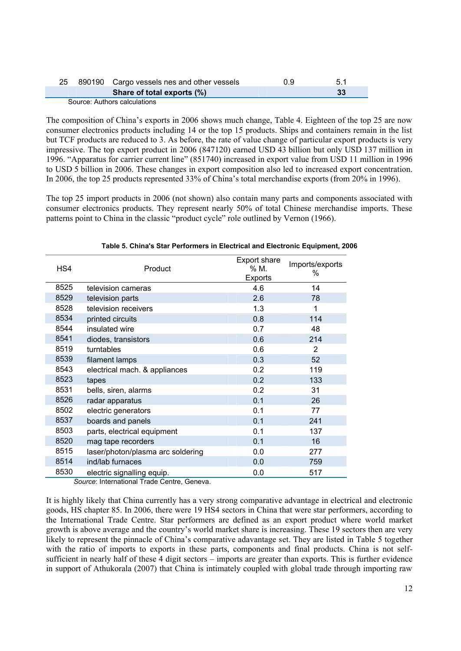|  | 25 890190 Cargo vessels nes and other vessels | 0.9 | 5.1 |  |
|--|-----------------------------------------------|-----|-----|--|
|  | Share of total exports (%)                    |     |     |  |
|  | Source: Authors calculations                  |     |     |  |

The composition of China's exports in 2006 shows much change, Table 4. Eighteen of the top 25 are now consumer electronics products including 14 or the top 15 products. Ships and containers remain in the list but TCF products are reduced to 3. As before, the rate of value change of particular export products is very impressive. The top export product in 2006 (847120) earned USD 43 billion but only USD 137 million in 1996. "Apparatus for carrier current line" (851740) increased in export value from USD 11 million in 1996 to USD 5 billion in 2006. These changes in export composition also led to increased export concentration. In 2006, the top 25 products represented 33% of China's total merchandise exports (from 20% in 1996).

The top 25 import products in 2006 (not shown) also contain many parts and components associated with consumer electronics products. They represent nearly 50% of total Chinese merchandise imports. These patterns point to China in the classic "product cycle" role outlined by Vernon (1966).

| HS4  | Product                           | Export share<br>% M.<br>Exports | Imports/exports<br>% |
|------|-----------------------------------|---------------------------------|----------------------|
| 8525 | television cameras                | 4.6                             | 14                   |
| 8529 | television parts                  | 2.6                             | 78                   |
| 8528 | television receivers              | 1.3                             |                      |
| 8534 | printed circuits                  | 0.8                             | 114                  |
| 8544 | insulated wire                    | 0.7                             | 48                   |
| 8541 | diodes, transistors               | 0.6                             | 214                  |
| 8519 | turntables                        | 0.6                             | 2                    |
| 8539 | filament lamps                    | 0.3                             | 52                   |
| 8543 | electrical mach. & appliances     | 0.2                             | 119                  |
| 8523 | tapes                             | 0.2                             | 133                  |
| 8531 | bells, siren, alarms              | 0.2                             | 31                   |
| 8526 | radar apparatus                   | 0.1                             | 26                   |
| 8502 | electric generators               | 0.1                             | 77                   |
| 8537 | boards and panels                 | 0.1                             | 241                  |
| 8503 | parts, electrical equipment       | 0.1                             | 137                  |
| 8520 | mag tape recorders                | 0.1                             | 16                   |
| 8515 | laser/photon/plasma arc soldering | 0.0                             | 277                  |
| 8514 | ind/lab furnaces                  | 0.0                             | 759                  |
| 8530 | electric signalling equip.        | 0.0                             | 517                  |

#### **Table 5. China's Star Performers in Electrical and Electronic Equipment, 2006**

*Source*: International Trade Centre, Geneva.

It is highly likely that China currently has a very strong comparative advantage in electrical and electronic goods, HS chapter 85. In 2006, there were 19 HS4 sectors in China that were star performers, according to the International Trade Centre. Star performers are defined as an export product where world market growth is above average and the country's world market share is increasing. These 19 sectors then are very likely to represent the pinnacle of China's comparative adavantage set. They are listed in Table 5 together with the ratio of imports to exports in these parts, components and final products. China is not selfsufficient in nearly half of these 4 digit sectors – imports are greater than exports. This is further evidence in support of Athukorala (2007) that China is intimately coupled with global trade through importing raw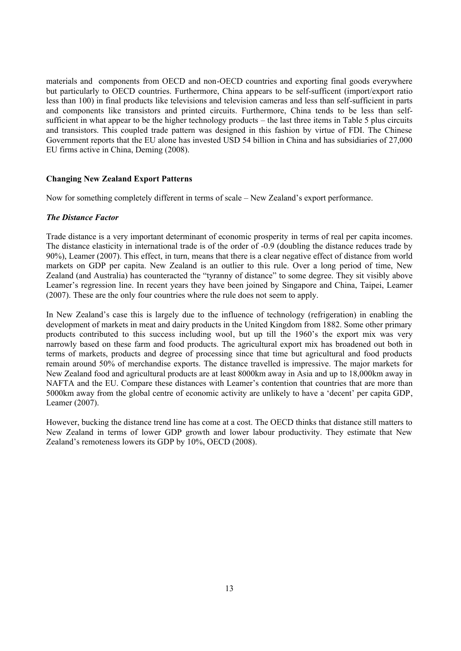materials and components from OECD and non-OECD countries and exporting final goods everywhere but particularly to OECD countries. Furthermore, China appears to be self-sufficent (import/export ratio less than 100) in final products like televisions and television cameras and less than self-sufficient in parts and components like transistors and printed circuits. Furthermore, China tends to be less than selfsufficient in what appear to be the higher technology products – the last three items in Table 5 plus circuits and transistors. This coupled trade pattern was designed in this fashion by virtue of FDI. The Chinese Government reports that the EU alone has invested USD 54 billion in China and has subsidiaries of 27,000 EU firms active in China, Deming (2008).

#### **Changing New Zealand Export Patterns**

Now for something completely different in terms of scale – New Zealand's export performance.

#### *The Distance Factor*

Trade distance is a very important determinant of economic prosperity in terms of real per capita incomes. The distance elasticity in international trade is of the order of -0.9 (doubling the distance reduces trade by 90%), Leamer (2007). This effect, in turn, means that there is a clear negative effect of distance from world markets on GDP per capita. New Zealand is an outlier to this rule. Over a long period of time, New Zealand (and Australia) has counteracted the "tyranny of distance" to some degree. They sit visibly above Leamer's regression line. In recent years they have been joined by Singapore and China, Taipei, Leamer (2007). These are the only four countries where the rule does not seem to apply.

In New Zealand's case this is largely due to the influence of technology (refrigeration) in enabling the development of markets in meat and dairy products in the United Kingdom from 1882. Some other primary products contributed to this success including wool, but up till the 1960's the export mix was very narrowly based on these farm and food products. The agricultural export mix has broadened out both in terms of markets, products and degree of processing since that time but agricultural and food products remain around 50% of merchandise exports. The distance travelled is impressive. The major markets for New Zealand food and agricultural products are at least 8000km away in Asia and up to 18,000km away in NAFTA and the EU. Compare these distances with Leamer's contention that countries that are more than 5000km away from the global centre of economic activity are unlikely to have a 'decent' per capita GDP, Leamer (2007).

However, bucking the distance trend line has come at a cost. The OECD thinks that distance still matters to New Zealand in terms of lower GDP growth and lower labour productivity. They estimate that New Zealand's remoteness lowers its GDP by 10%, OECD (2008).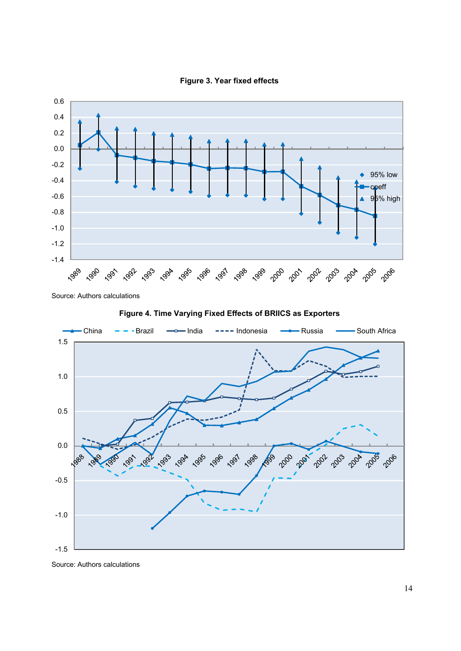



Source: Authors calculations



**Figure 4. Time Varying Fixed Effects of BRIICS as Exporters**

Source: Authors calculations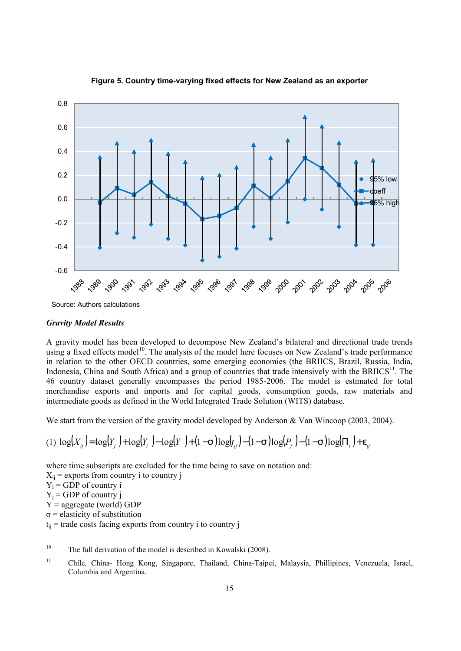

# **Figure 5. Country time-varying fixed effects for New Zealand as an exporter**

#### *Gravity Model Results*

A gravity model has been developed to decompose New Zealand's bilateral and directional trade trends using a fixed effects model<sup>10</sup>. The analysis of the model here focuses on New Zealand's trade performance in relation to the other OECD countries, some emerging economies (the BRIICS, Brazil, Russia, India, Indonesia, China and South Africa) and a group of countries that trade intensively with the BRIICS $^{11}$ . The 46 country dataset generally encompasses the period 1985-2006. The model is estimated for total merchandise exports and imports and for capital goods, consumption goods, raw materials and intermediate goods as defined in the World Integrated Trade Solution (WITS) database.

We start from the version of the gravity model developed by Anderson & Van Wincoop (2003, 2004).

$$
(1) \ \log(X_{ij}) = \log(Y_j) + \log(Y_i) - \log(Y) + (1 - s) \log(t_{ij}) - (1 - s) \log(P_j) - (1 - s) \log(\Pi_i) + e_{ij}
$$

where time subscripts are excluded for the time being to save on notation and:

 $X_{ii}$  = exports from country i to country j

 $Y_i$  = GDP of country i

 $Y_j$  = GDP of country j

 $Y =$  aggregate (world) GDP

 $\sigma$  = elasticity of substitution

 $t_{ii}$  = trade costs facing exports from country i to country j

 $10$ The full derivation of the model is described in Kowalski (2008).

<sup>11</sup> Chile, China- Hong Kong, Singapore, Thailand, China-Taipei, Malaysia, Phillipines, Venezuela, Israel, Columbia and Argentina.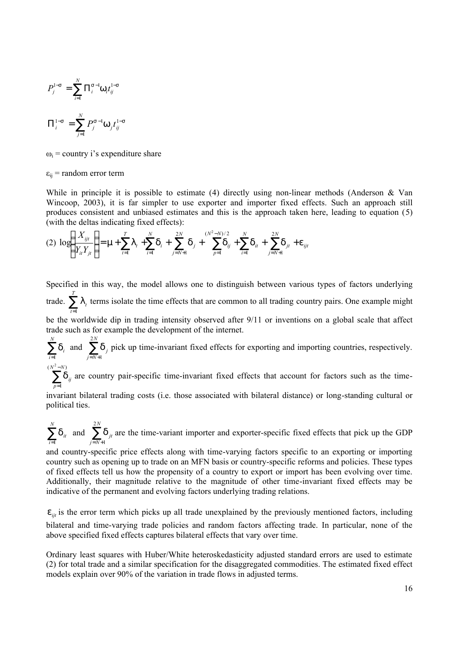$$
P_j^{1-s} = \sum_{i=1}^{N} \Pi_i^{s-l} W_i t_{ij}^{1-s}
$$

$$
\Pi_i^{1-s} = \sum_{j=1}^{N} P_j^{s-l} W_j t_{ij}^{1-s}
$$

 $\omega_i$  = country i's expenditure share

 $\varepsilon_{ii}$  = random error term

While in principle it is possible to estimate  $(4)$  directly using non-linear methods (Anderson & Van Wincoop, 2003), it is far simpler to use exporter and importer fixed effects. Such an approach still produces consistent and unbiased estimates and this is the approach taken here, leading to equation (5) (with the deltas indicating fixed effects):

$$
(2) \ \log \left( \frac{X_{ijt}}{Y_{it} Y_{jt}} \right) = \mathsf{m} + \sum_{t=1}^{T} \mathsf{I}_{t} + \sum_{i=1}^{N} \mathsf{d}_{i} + \sum_{j=N+1}^{2N} \mathsf{d}_{j} + \sum_{p=1}^{(N^{2}-N)/2} \mathsf{d}_{ij} + \sum_{i=1}^{N} \mathsf{d}_{it} + \sum_{j=N+1}^{2N} \mathsf{d}_{jt} + \mathsf{e}_{ijt}
$$

Specified in this way, the model allows one to distinguish between various types of factors underlying trade.  $\sum_{t=1}^{T}$ *t l*<sub>t</sub> terms isolate the time effects that are common to all trading country pairs. One example might 1 be the worldwide dip in trading intensity observed after 9/11 or inventions on a global scale that affect trade such as for example the development of the internet.

 $\sum_{i=1}^N$ *i i*  $\sum_{i=1}^{n} d_i$  and  $\sum_{j=N+1}^{2N} d_j$ *j N j* 2 1 *d* pick up time-invariant fixed effects for exporting and importing countries, respectively.  $(N^2 - N)$  $N^2 - N$ 

 $\sum^{l^2-l}$ = 1 *p*  $d_{ij}$  are country pair-specific time-invariant fixed effects that account for factors such as the time-

invariant bilateral trading costs (i.e. those associated with bilateral distance) or long-standing cultural or political ties.

 $\sum_{i=1}^N$ *i it*  $\sum_{i=1}^{n}$ **d**<sub>it</sub> and  $\sum_{j=N+1}^{2N}$ *j N jt* 2 1  $d_{it}$  are the time-variant importer and exporter-specific fixed effects that pick up the GDP

and country-specific price effects along with time-varying factors specific to an exporting or importing country such as opening up to trade on an MFN basis or country-specific reforms and policies. These types of fixed effects tell us how the propensity of a country to export or import has been evolving over time. Additionally, their magnitude relative to the magnitude of other time-invariant fixed effects may be indicative of the permanent and evolving factors underlying trading relations.

 $e_{ijt}$  is the error term which picks up all trade unexplained by the previously mentioned factors, including bilateral and time-varying trade policies and random factors affecting trade. In particular, none of the above specified fixed effects captures bilateral effects that vary over time.

Ordinary least squares with Huber/White heteroskedasticity adjusted standard errors are used to estimate (2) for total trade and a similar specification for the disaggregated commodities. The estimated fixed effect models explain over 90% of the variation in trade flows in adjusted terms.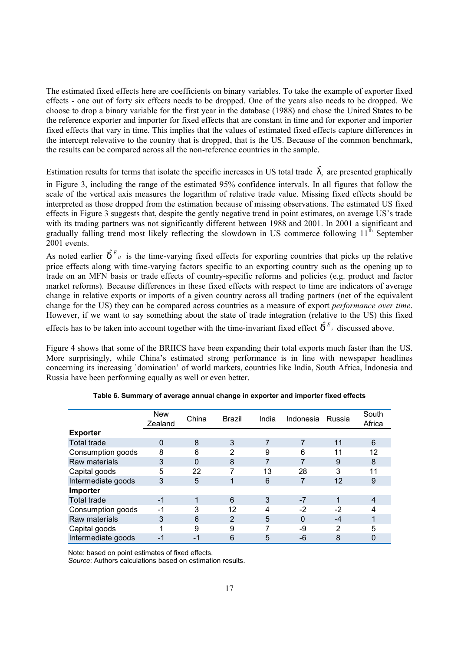The estimated fixed effects here are coefficients on binary variables. To take the example of exporter fixed effects - one out of forty six effects needs to be dropped. One of the years also needs to be dropped. We choose to drop a binary variable for the first year in the database (1988) and chose the United States to be the reference exporter and importer for fixed effects that are constant in time and for exporter and importer fixed effects that vary in time. This implies that the values of estimated fixed effects capture differences in the intercept relevative to the country that is dropped, that is the US. Because of the common benchmark, the results can be compared across all the non-reference countries in the sample.

Estimation results for terms that isolate the specific increases in US total trade  $\int_t^t$  are presented graphically

in Figure 3, including the range of the estimated 95% confidence intervals. In all figures that follow the scale of the vertical axis measures the logarithm of relative trade value. Missing fixed effects should be interpreted as those dropped from the estimation because of missing observations. The estimated US fixed effects in Figure 3 suggests that, despite the gently negative trend in point estimates, on average US's trade with its trading partners was not significantly different between 1988 and 2001. In 2001 a significant and gradually falling trend most likely reflecting the slowdown in US commerce following  $11^{\text{th}}$  September 2001 events.

As noted earlier  $\hat{d}^{E}_{it}$  is the time-varying fixed effects for exporting countries that picks up the relative price effects along with time-varying factors specific to an exporting country such as the opening up to trade on an MFN basis or trade effects of country-specific reforms and policies (e.g. product and factor market reforms). Because differences in these fixed effects with respect to time are indicators of average change in relative exports or imports of a given country across all trading partners (net of the equivalent change for the US) they can be compared across countries as a measure of export *performance over time*. However, if we want to say something about the state of trade integration (relative to the US) this fixed

effects has to be taken into account together with the time-invariant fixed effect  $\hat{d}^{E_i}$  discussed above.

Figure 4 shows that some of the BRIICS have been expanding their total exports much faster than the US. More surprisingly, while China's estimated strong performance is in line with newspaper headlines concerning its increasing `domination' of world markets, countries like India, South Africa, Indonesia and Russia have been performing equally as well or even better.

|                    | <b>New</b><br>Zealand | China | Brazil | India | Indonesia | Russia | South<br>Africa |
|--------------------|-----------------------|-------|--------|-------|-----------|--------|-----------------|
| <b>Exporter</b>    |                       |       |        |       |           |        |                 |
| <b>Total trade</b> | 0                     | 8     | 3      | 7     | 7         | 11     | 6               |
| Consumption goods  | 8                     | 6     | 2      | 9     | 6         | 11     | 12              |
| Raw materials      | 3                     | 0     | 8      | 7     | 7         | 9      | 8               |
| Capital goods      | 5                     | 22    | 7      | 13    | 28        | 3      | 11              |
| Intermediate goods | 3                     | 5     |        | 6     | 7         | 12     | 9               |
| Importer           |                       |       |        |       |           |        |                 |
| <b>Total trade</b> | -1                    |       | 6      | 3     | $-7$      |        | 4               |
| Consumption goods  | $-1$                  | 3     | 12     | 4     | $-2$      | $-2$   |                 |
| Raw materials      | 3                     | 6     | 2      | 5     | $\Omega$  | -4     |                 |
| Capital goods      |                       | 9     | 9      | 7     | -9        | 2      | 5               |
| Intermediate goods |                       | Ξ.    | 6      | 5     | -6        | 8      |                 |

**Table 6. Summary of average annual change in exporter and importer fixed effects**

Note: based on point estimates of fixed effects.

*Source*: Authors calculations based on estimation results.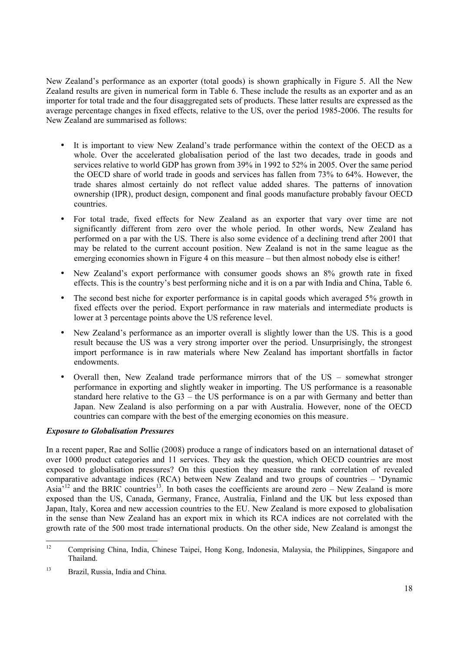New Zealand's performance as an exporter (total goods) is shown graphically in Figure 5. All the New Zealand results are given in numerical form in Table 6. These include the results as an exporter and as an importer for total trade and the four disaggregated sets of products. These latter results are expressed as the average percentage changes in fixed effects, relative to the US, over the period 1985-2006. The results for New Zealand are summarised as follows:

- It is important to view New Zealand's trade performance within the context of the OECD as a whole. Over the accelerated globalisation period of the last two decades, trade in goods and services relative to world GDP has grown from 39% in 1992 to 52% in 2005. Over the same period the OECD share of world trade in goods and services has fallen from 73% to 64%. However, the trade shares almost certainly do not reflect value added shares. The patterns of innovation ownership (IPR), product design, component and final goods manufacture probably favour OECD countries.
- For total trade, fixed effects for New Zealand as an exporter that vary over time are not significantly different from zero over the whole period. In other words, New Zealand has performed on a par with the US. There is also some evidence of a declining trend after 2001 that may be related to the current account position. New Zealand is not in the same league as the emerging economies shown in Figure 4 on this measure – but then almost nobody else is either!
- New Zealand's export performance with consumer goods shows an 8% growth rate in fixed effects. This is the country's best performing niche and it is on a par with India and China, Table 6.
- The second best niche for exporter performance is in capital goods which averaged 5% growth in fixed effects over the period. Export performance in raw materials and intermediate products is lower at 3 percentage points above the US reference level.
- New Zealand's performance as an importer overall is slightly lower than the US. This is a good result because the US was a very strong importer over the period. Unsurprisingly, the strongest import performance is in raw materials where New Zealand has important shortfalls in factor endowments.
- Overall then, New Zealand trade performance mirrors that of the US somewhat stronger performance in exporting and slightly weaker in importing. The US performance is a reasonable standard here relative to the  $G3$  – the US performance is on a par with Germany and better than Japan. New Zealand is also performing on a par with Australia. However, none of the OECD countries can compare with the best of the emerging economies on this measure.

# *Exposure to Globalisation Pressures*

In a recent paper, Rae and Sollie (2008) produce a range of indicators based on an international dataset of over 1000 product categories and 11 services. They ask the question, which OECD countries are most exposed to globalisation pressures? On this question they measure the rank correlation of revealed comparative advantage indices (RCA) between New Zealand and two groups of countries – 'Dynamic Asia<sup>-12</sup> and the BRIC countries<sup>13</sup>. In both cases the coefficients are around zero – New Zealand is more exposed than the US, Canada, Germany, France, Australia, Finland and the UK but less exposed than Japan, Italy, Korea and new accession countries to the EU. New Zealand is more exposed to globalisation in the sense than New Zealand has an export mix in which its RCA indices are not correlated with the growth rate of the 500 most trade international products. On the other side, New Zealand is amongst the

 $12$ <sup>12</sup> Comprising China, India, Chinese Taipei, Hong Kong, Indonesia, Malaysia, the Philippines, Singapore and Thailand.

<sup>&</sup>lt;sup>13</sup> Brazil, Russia, India and China.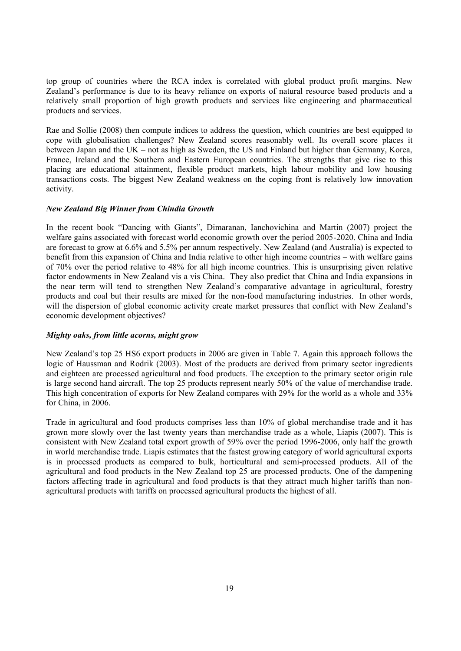top group of countries where the RCA index is correlated with global product profit margins. New Zealand's performance is due to its heavy reliance on exports of natural resource based products and a relatively small proportion of high growth products and services like engineering and pharmaceutical products and services.

Rae and Sollie (2008) then compute indices to address the question, which countries are best equipped to cope with globalisation challenges? New Zealand scores reasonably well. Its overall score places it between Japan and the UK – not as high as Sweden, the US and Finland but higher than Germany, Korea, France, Ireland and the Southern and Eastern European countries. The strengths that give rise to this placing are educational attainment, flexible product markets, high labour mobility and low housing transactions costs. The biggest New Zealand weakness on the coping front is relatively low innovation activity.

#### *New Zealand Big Winner from Chindia Growth*

In the recent book "Dancing with Giants", Dimaranan, Ianchovichina and Martin (2007) project the welfare gains associated with forecast world economic growth over the period 2005-2020. China and India are forecast to grow at 6.6% and 5.5% per annum respectively. New Zealand (and Australia) is expected to benefit from this expansion of China and India relative to other high income countries – with welfare gains of 70% over the period relative to 48% for all high income countries. This is unsurprising given relative factor endowments in New Zealand vis a vis China. They also predict that China and India expansions in the near term will tend to strengthen New Zealand's comparative advantage in agricultural, forestry products and coal but their results are mixed for the non-food manufacturing industries. In other words, will the dispersion of global economic activity create market pressures that conflict with New Zealand's economic development objectives?

#### *Mighty oaks, from little acorns, might grow*

New Zealand's top 25 HS6 export products in 2006 are given in Table 7. Again this approach follows the logic of Haussman and Rodrik (2003). Most of the products are derived from primary sector ingredients and eighteen are processed agricultural and food products. The exception to the primary sector origin rule is large second hand aircraft. The top 25 products represent nearly 50% of the value of merchandise trade. This high concentration of exports for New Zealand compares with 29% for the world as a whole and 33% for China, in 2006.

Trade in agricultural and food products comprises less than 10% of global merchandise trade and it has grown more slowly over the last twenty years than merchandise trade as a whole, Liapis (2007). This is consistent with New Zealand total export growth of 59% over the period 1996-2006, only half the growth in world merchandise trade. Liapis estimates that the fastest growing category of world agricultural exports is in processed products as compared to bulk, horticultural and semi-processed products. All of the agricultural and food products in the New Zealand top 25 are processed products. One of the dampening factors affecting trade in agricultural and food products is that they attract much higher tariffs than nonagricultural products with tariffs on processed agricultural products the highest of all.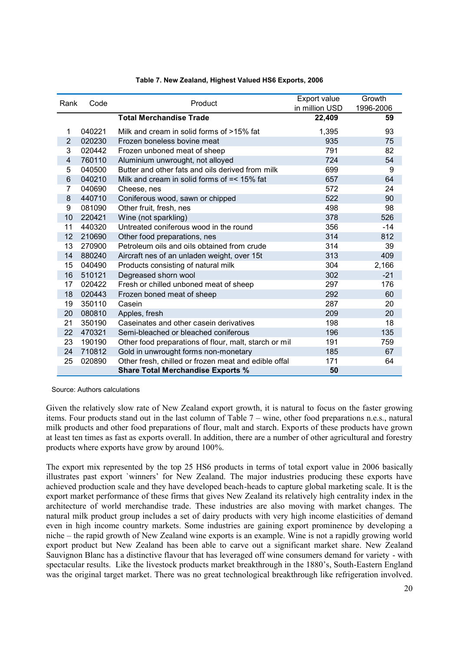| Rank           | Code   | Product                                               | Export value<br>in million USD | Growth<br>1996-2006 |
|----------------|--------|-------------------------------------------------------|--------------------------------|---------------------|
|                |        | <b>Total Merchandise Trade</b>                        | 22,409                         | 59                  |
| 1              | 040221 | Milk and cream in solid forms of >15% fat             | 1,395                          | 93                  |
| $\overline{2}$ | 020230 | Frozen boneless bovine meat                           | 935                            | 75                  |
| 3              | 020442 | Frozen unboned meat of sheep                          | 791                            | 82                  |
| 4              | 760110 | Aluminium unwrought, not alloyed                      | 724                            | 54                  |
| 5              | 040500 | Butter and other fats and oils derived from milk      | 699                            | 9                   |
| 6              | 040210 | Milk and cream in solid forms of $=< 15\%$ fat        | 657                            | 64                  |
| $\overline{7}$ | 040690 | Cheese, nes                                           | 572                            | 24                  |
| 8              | 440710 | Coniferous wood, sawn or chipped                      | 522                            | 90                  |
| 9              | 081090 | Other fruit, fresh, nes                               | 498                            | 98                  |
| 10             | 220421 | Wine (not sparkling)                                  | 378                            | 526                 |
| 11             | 440320 | Untreated coniferous wood in the round                | 356                            | $-14$               |
| 12             | 210690 | Other food preparations, nes                          | 314                            | 812                 |
| 13             | 270900 | Petroleum oils and oils obtained from crude           | 314                            | 39                  |
| 14             | 880240 | Aircraft nes of an unladen weight, over 15t           | 313                            | 409                 |
| 15             | 040490 | Products consisting of natural milk                   | 304                            | 2,166               |
| 16             | 510121 | Degreased shorn wool                                  | 302                            | $-21$               |
| 17             | 020422 | Fresh or chilled unboned meat of sheep                | 297                            | 176                 |
| 18             | 020443 | Frozen boned meat of sheep                            | 292                            | 60                  |
| 19             | 350110 | Casein                                                | 287                            | 20                  |
| 20             | 080810 | Apples, fresh                                         | 209                            | 20                  |
| 21             | 350190 | Caseinates and other casein derivatives               | 198                            | 18                  |
| 22             | 470321 | Semi-bleached or bleached coniferous                  | 196                            | 135                 |
| 23             | 190190 | Other food preparations of flour, malt, starch or mil | 191                            | 759                 |
| 24             | 710812 | Gold in unwrought forms non-monetary                  | 185                            | 67                  |
| 25             | 020890 | Other fresh, chilled or frozen meat and edible offal  | 171                            | 64                  |
|                |        | <b>Share Total Merchandise Exports %</b>              | 50                             |                     |

#### **Table 7. New Zealand, Highest Valued HS6 Exports, 2006**

Source: Authors calculations

Given the relatively slow rate of New Zealand export growth, it is natural to focus on the faster growing items. Four products stand out in the last column of Table 7 – wine, other food preparations n.e.s., natural milk products and other food preparations of flour, malt and starch. Exports of these products have grown at least ten times as fast as exports overall. In addition, there are a number of other agricultural and forestry products where exports have grow by around 100%.

The export mix represented by the top 25 HS6 products in terms of total export value in 2006 basically illustrates past export `winners' for New Zealand. The major industries producing these exports have achieved production scale and they have developed beach-heads to capture global marketing scale. It is the export market performance of these firms that gives New Zealand its relatively high centrality index in the architecture of world merchandise trade. These industries are also moving with market changes. The natural milk product group includes a set of dairy products with very high income elasticities of demand even in high income country markets. Some industries are gaining export prominence by developing a niche – the rapid growth of New Zealand wine exports is an example. Wine is not a rapidly growing world export product but New Zealand has been able to carve out a significant market share. New Zealand Sauvignon Blanc has a distinctive flavour that has leveraged off wine consumers demand for variety - with spectacular results. Like the livestock products market breakthrough in the 1880's, South-Eastern England was the original target market. There was no great technological breakthrough like refrigeration involved.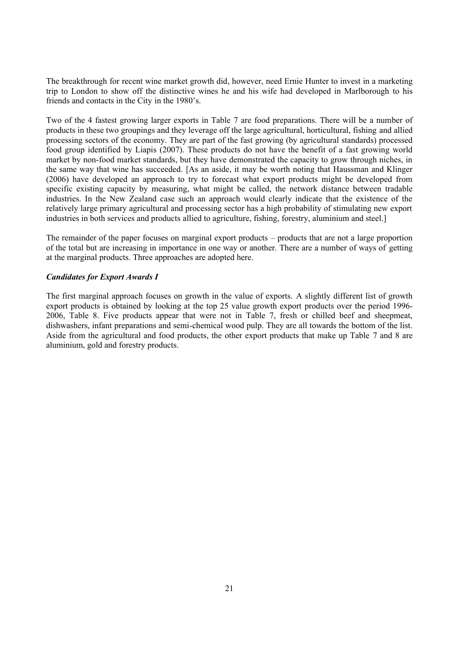The breakthrough for recent wine market growth did, however, need Ernie Hunter to invest in a marketing trip to London to show off the distinctive wines he and his wife had developed in Marlborough to his friends and contacts in the City in the 1980's.

Two of the 4 fastest growing larger exports in Table 7 are food preparations. There will be a number of products in these two groupings and they leverage off the large agricultural, horticultural, fishing and allied processing sectors of the economy. They are part of the fast growing (by agricultural standards) processed food group identified by Liapis (2007). These products do not have the benefit of a fast growing world market by non-food market standards, but they have demonstrated the capacity to grow through niches, in the same way that wine has succeeded. [As an aside, it may be worth noting that Haussman and Klinger (2006) have developed an approach to try to forecast what export products might be developed from specific existing capacity by measuring, what might be called, the network distance between tradable industries. In the New Zealand case such an approach would clearly indicate that the existence of the relatively large primary agricultural and processing sector has a high probability of stimulating new export industries in both services and products allied to agriculture, fishing, forestry, aluminium and steel.]

The remainder of the paper focuses on marginal export products – products that are not a large proportion of the total but are increasing in importance in one way or another. There are a number of ways of getting at the marginal products. Three approaches are adopted here.

#### *Candidates for Export Awards I*

The first marginal approach focuses on growth in the value of exports. A slightly different list of growth export products is obtained by looking at the top 25 value growth export products over the period 1996- 2006, Table 8. Five products appear that were not in Table 7, fresh or chilled beef and sheepmeat, dishwashers, infant preparations and semi-chemical wood pulp. They are all towards the bottom of the list. Aside from the agricultural and food products, the other export products that make up Table 7 and 8 are aluminium, gold and forestry products.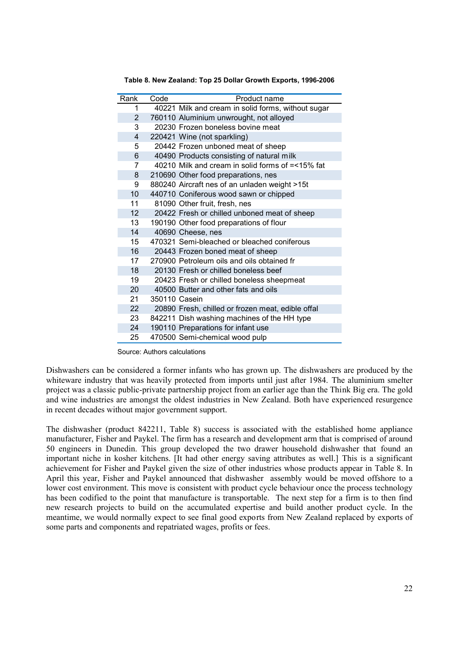| Rank | Code          | Product name                                       |
|------|---------------|----------------------------------------------------|
| 1    |               | 40221 Milk and cream in solid forms, without sugar |
| 2    |               | 760110 Aluminium unwrought, not alloyed            |
| 3    |               | 20230 Frozen boneless bovine meat                  |
| 4    |               | 220421 Wine (not sparkling)                        |
| 5    |               | 20442 Frozen unboned meat of sheep                 |
| 6    |               | 40490 Products consisting of natural milk          |
| 7    |               | 40210 Milk and cream in solid forms of =<15% fat   |
| 8    |               | 210690 Other food preparations, nes                |
| 9    |               | 880240 Aircraft nes of an unladen weight >15t      |
| 10   |               | 440710 Coniferous wood sawn or chipped             |
| 11   |               | 81090 Other fruit, fresh, nes                      |
| 12   |               | 20422 Fresh or chilled unboned meat of sheep       |
| 13   |               | 190190 Other food preparations of flour            |
| 14   |               | 40690 Cheese, nes                                  |
| 15   |               | 470321 Semi-bleached or bleached coniferous        |
| 16   |               | 20443 Frozen boned meat of sheep                   |
| 17   |               | 270900 Petroleum oils and oils obtained fr         |
| 18   |               | 20130 Fresh or chilled boneless beef               |
| 19   |               | 20423 Fresh or chilled boneless sheepmeat          |
| 20   |               | 40500 Butter and other fats and oils               |
| 21   | 350110 Casein |                                                    |
| 22   |               | 20890 Fresh, chilled or frozen meat, edible offal  |
| 23   |               | 842211 Dish washing machines of the HH type        |
| 24   |               | 190110 Preparations for infant use                 |
| 25   |               | 470500 Semi-chemical wood pulp                     |

**Table 8. New Zealand: Top 25 Dollar Growth Exports, 1996-2006**

Source: Authors calculations

Dishwashers can be considered a former infants who has grown up. The dishwashers are produced by the whiteware industry that was heavily protected from imports until just after 1984. The aluminium smelter project was a classic public-private partnership project from an earlier age than the Think Big era. The gold and wine industries are amongst the oldest industries in New Zealand. Both have experienced resurgence in recent decades without major government support.

The dishwasher (product 842211, Table 8) success is associated with the established home appliance manufacturer, Fisher and Paykel. The firm has a research and development arm that is comprised of around 50 engineers in Dunedin. This group developed the two drawer household dishwasher that found an important niche in kosher kitchens. [It had other energy saving attributes as well.] This is a significant achievement for Fisher and Paykel given the size of other industries whose products appear in Table 8. In April this year, Fisher and Paykel announced that dishwasher assembly would be moved offshore to a lower cost environment. This move is consistent with product cycle behaviour once the process technology has been codified to the point that manufacture is transportable. The next step for a firm is to then find new research projects to build on the accumulated expertise and build another product cycle. In the meantime, we would normally expect to see final good exports from New Zealand replaced by exports of some parts and components and repatriated wages, profits or fees.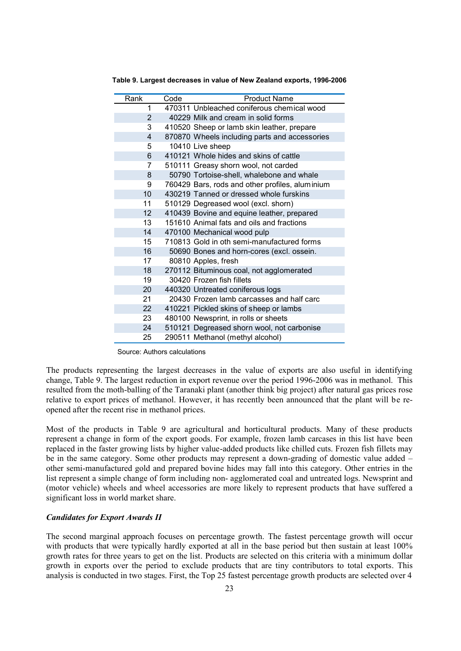| Rank            | Code | <b>Product Name</b>                             |
|-----------------|------|-------------------------------------------------|
| 1               |      | 470311 Unbleached coniferous chemical wood      |
| 2               |      | 40229 Milk and cream in solid forms             |
| 3               |      | 410520 Sheep or lamb skin leather, prepare      |
| 4               |      | 870870 Wheels including parts and accessories   |
| 5               |      | 10410 Live sheep                                |
| 6               |      | 410121 Whole hides and skins of cattle          |
| $\overline{7}$  |      | 510111 Greasy shorn wool, not carded            |
| 8               |      | 50790 Tortoise-shell, whalebone and whale       |
| 9               |      | 760429 Bars, rods and other profiles, aluminium |
| 10              |      | 430219 Tanned or dressed whole furskins         |
| 11              |      | 510129 Degreased wool (excl. shorn)             |
| 12 <sup>2</sup> |      | 410439 Bovine and equine leather, prepared      |
| 13              |      | 151610 Animal fats and oils and fractions       |
| 14              |      | 470100 Mechanical wood pulp                     |
| 15              |      | 710813 Gold in oth semi-manufactured forms      |
| 16              |      | 50690 Bones and horn-cores (excl. ossein.       |
| 17              |      | 80810 Apples, fresh                             |
| 18              |      | 270112 Bituminous coal, not agglomerated        |
| 19              |      | 30420 Frozen fish fillets                       |
| 20 <sub>2</sub> |      | 440320 Untreated coniferous logs                |
| 21              |      | 20430 Frozen lamb carcasses and half carc       |
| 22 <sub>2</sub> |      | 410221 Pickled skins of sheep or lambs          |
| 23              |      | 480100 Newsprint, in rolls or sheets            |
| 24              |      | 510121 Degreased shorn wool, not carbonise      |
| 25              |      | 290511 Methanol (methyl alcohol)                |

**Table 9. Largest decreases in value of New Zealand exports, 1996-2006**

Source: Authors calculations

The products representing the largest decreases in the value of exports are also useful in identifying change, Table 9. The largest reduction in export revenue over the period 1996-2006 was in methanol. This resulted from the moth-balling of the Taranaki plant (another think big project) after natural gas prices rose relative to export prices of methanol. However, it has recently been announced that the plant will be reopened after the recent rise in methanol prices.

Most of the products in Table 9 are agricultural and horticultural products. Many of these products represent a change in form of the export goods. For example, frozen lamb carcases in this list have been replaced in the faster growing lists by higher value-added products like chilled cuts. Frozen fish fillets may be in the same category. Some other products may represent a down-grading of domestic value added – other semi-manufactured gold and prepared bovine hides may fall into this category. Other entries in the list represent a simple change of form including non- agglomerated coal and untreated logs. Newsprint and (motor vehicle) wheels and wheel accessories are more likely to represent products that have suffered a significant loss in world market share.

#### *Candidates for Export Awards II*

The second marginal approach focuses on percentage growth. The fastest percentage growth will occur with products that were typically hardly exported at all in the base period but then sustain at least 100% growth rates for three years to get on the list. Products are selected on this criteria with a minimum dollar growth in exports over the period to exclude products that are tiny contributors to total exports. This analysis is conducted in two stages. First, the Top 25 fastest percentage growth products are selected over 4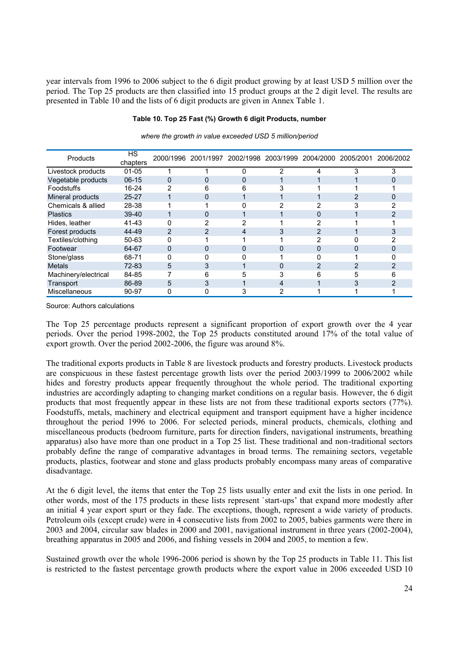year intervals from 1996 to 2006 subject to the 6 digit product growing by at least USD 5 million over the period. The Top 25 products are then classified into 15 product groups at the 2 digit level. The results are presented in Table 10 and the lists of 6 digit products are given in Annex Table 1.

#### **Table 10. Top 25 Fast (%) Growth 6 digit Products, number**

| Products             | <b>HS</b><br>chapters |   |   | 2000/1996 2001/1997 2002/1998 2003/1999 2004/2000 |   |   | 2005/2001 | 2006/2002 |
|----------------------|-----------------------|---|---|---------------------------------------------------|---|---|-----------|-----------|
|                      |                       |   |   |                                                   |   |   |           |           |
| Livestock products   | $01 - 05$             |   |   | O                                                 | 2 | 4 | 3         | 3         |
| Vegetable products   | $06-15$               | 0 | 0 | 0                                                 |   |   |           |           |
| Foodstuffs           | 16-24                 | 2 | 6 | 6                                                 |   |   |           |           |
| Mineral products     | $25 - 27$             |   | 0 |                                                   |   |   |           |           |
| Chemicals & allied   | 28-38                 |   |   |                                                   |   | າ |           |           |
| <b>Plastics</b>      | $39 - 40$             |   |   |                                                   |   |   |           |           |
| Hides, leather       | 41-43                 |   |   |                                                   |   |   |           |           |
| Forest products      | 44-49                 | 2 | 2 | 4                                                 | 3 | 2 |           |           |
| Textiles/clothing    | 50-63                 |   |   |                                                   |   | っ |           |           |
| Footwear             | 64-67                 | 0 | 0 | 0                                                 | 0 | 0 | 0         |           |
| Stone/glass          | 68-71                 |   |   |                                                   |   |   |           |           |
| <b>Metals</b>        | 72-83                 | 5 | 3 |                                                   | 0 | 2 |           |           |
| Machinery/electrical | 84-85                 |   | 6 | 5                                                 | 3 | 6 | 5         |           |
| Transport            | 86-89                 | 5 | 3 |                                                   | 4 |   |           |           |
| Miscellaneous        | 90-97                 | 0 | 0 |                                                   |   |   |           |           |

*where the growth in value exceeded USD 5 million/period*

Source: Authors calculations

The Top 25 percentage products represent a significant proportion of export growth over the 4 year periods. Over the period 1998-2002, the Top 25 products constituted around 17% of the total value of export growth. Over the period 2002-2006, the figure was around 8%.

The traditional exports products in Table 8 are livestock products and forestry products. Livestock products are conspicuous in these fastest percentage growth lists over the period 2003/1999 to 2006/2002 while hides and forestry products appear frequently throughout the whole period. The traditional exporting industries are accordingly adapting to changing market conditions on a regular basis. However, the 6 digit products that most frequently appear in these lists are not from these traditional exports sectors (77%). Foodstuffs, metals, machinery and electrical equipment and transport equipment have a higher incidence throughout the period 1996 to 2006. For selected periods, mineral products, chemicals, clothing and miscellaneous products (bedroom furniture, parts for direction finders, navigational instruments, breathing apparatus) also have more than one product in a Top 25 list. These traditional and non-traditional sectors probably define the range of comparative advantages in broad terms. The remaining sectors, vegetable products, plastics, footwear and stone and glass products probably encompass many areas of comparative disadvantage.

At the 6 digit level, the items that enter the Top 25 lists usually enter and exit the lists in one period. In other words, most of the 175 products in these lists represent `start-ups' that expand more modestly after an initial 4 year export spurt or they fade. The exceptions, though, represent a wide variety of products. Petroleum oils (except crude) were in 4 consecutive lists from 2002 to 2005, babies garments were there in 2003 and 2004, circular saw blades in 2000 and 2001, navigational instrument in three years (2002-2004), breathing apparatus in 2005 and 2006, and fishing vessels in 2004 and 2005, to mention a few.

Sustained growth over the whole 1996-2006 period is shown by the Top 25 products in Table 11. This list is restricted to the fastest percentage growth products where the export value in 2006 exceeded USD 10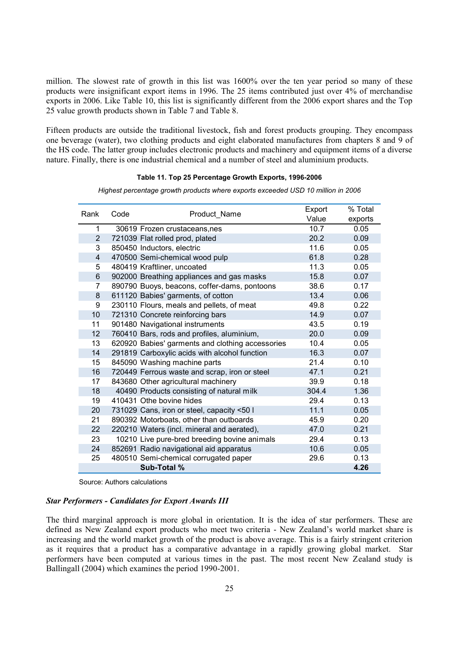million. The slowest rate of growth in this list was 1600% over the ten year period so many of these products were insignificant export items in 1996. The 25 items contributed just over 4% of merchandise exports in 2006. Like Table 10, this list is significantly different from the 2006 export shares and the Top 25 value growth products shown in Table 7 and Table 8.

Fifteen products are outside the traditional livestock, fish and forest products grouping. They encompass one beverage (water), two clothing products and eight elaborated manufactures from chapters 8 and 9 of the HS code. The latter group includes electronic products and machinery and equipment items of a diverse nature. Finally, there is one industrial chemical and a number of steel and aluminium products.

#### **Table 11. Top 25 Percentage Growth Exports, 1996-2006**

| Rank           |      | Product Name                                     | Export | % Total |
|----------------|------|--------------------------------------------------|--------|---------|
|                | Code |                                                  | Value  | exports |
| 1              |      | 30619 Frozen crustaceans, nes                    | 10.7   | 0.05    |
| $\mathbf{2}$   |      | 721039 Flat rolled prod, plated                  | 20.2   | 0.09    |
| 3              |      | 850450 Inductors, electric                       | 11.6   | 0.05    |
| 4              |      | 470500 Semi-chemical wood pulp                   | 61.8   | 0.28    |
| 5              |      | 480419 Kraftliner, uncoated                      | 11.3   | 0.05    |
| 6              |      | 902000 Breathing appliances and gas masks        | 15.8   | 0.07    |
| $\overline{7}$ |      | 890790 Buoys, beacons, coffer-dams, pontoons     | 38.6   | 0.17    |
| 8              |      | 611120 Babies' garments, of cotton               | 13.4   | 0.06    |
| 9              |      | 230110 Flours, meals and pellets, of meat        | 49.8   | 0.22    |
| 10             |      | 721310 Concrete reinforcing bars                 | 14.9   | 0.07    |
| 11             |      | 901480 Navigational instruments                  | 43.5   | 0.19    |
| 12             |      | 760410 Bars, rods and profiles, aluminium,       | 20.0   | 0.09    |
| 13             |      | 620920 Babies' garments and clothing accessories | 10.4   | 0.05    |
| 14             |      | 291819 Carboxylic acids with alcohol function    | 16.3   | 0.07    |
| 15             |      | 845090 Washing machine parts                     | 21.4   | 0.10    |
| 16             |      | 720449 Ferrous waste and scrap, iron or steel    | 47.1   | 0.21    |
| 17             |      | 843680 Other agricultural machinery              | 39.9   | 0.18    |
| 18             |      | 40490 Products consisting of natural milk        | 304.4  | 1.36    |
| 19             |      | 410431 Othe bovine hides                         | 29.4   | 0.13    |
| 20             |      | 731029 Cans, iron or steel, capacity <50 I       | 11.1   | 0.05    |
| 21             |      | 890392 Motorboats, other than outboards          | 45.9   | 0.20    |
| 22             |      | 220210 Waters (incl. mineral and aerated),       | 47.0   | 0.21    |
| 23             |      | 10210 Live pure-bred breeding bovine animals     | 29.4   | 0.13    |
| 24             |      | 852691 Radio navigational aid apparatus          | 10.6   | 0.05    |
| 25             |      | 480510 Semi-chemical corrugated paper            | 29.6   | 0.13    |
|                |      | Sub-Total %                                      |        | 4.26    |

*Highest percentage growth products where exports exceeded USD 10 million in 2006*

Source: Authors calculations

#### *Star Performers - Candidates for Export Awards III*

The third marginal approach is more global in orientation. It is the idea of star performers. These are defined as New Zealand export products who meet two criteria - New Zealand's world market share is increasing and the world market growth of the product is above average. This is a fairly stringent criterion as it requires that a product has a comparative advantage in a rapidly growing global market. Star performers have been computed at various times in the past. The most recent New Zealand study is Ballingall (2004) which examines the period 1990-2001.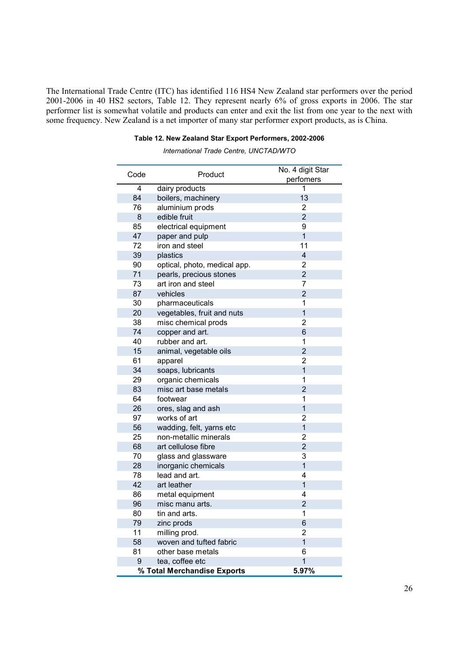The International Trade Centre (ITC) has identified 116 HS4 New Zealand star performers over the period 2001-2006 in 40 HS2 sectors, Table 12. They represent nearly 6% of gross exports in 2006. The star performer list is somewhat volatile and products can enter and exit the list from one year to the next with some frequency. New Zealand is a net importer of many star performer export products, as is China.

#### **Table 12. New Zealand Star Export Performers, 2002-2006**

*International Trade Centre, UNCTAD/WTO*

| Code | Product                                        | No. 4 digit Star<br>perfomers |
|------|------------------------------------------------|-------------------------------|
| 4    | dairy products                                 | 1                             |
| 84   | boilers, machinery                             | 13                            |
| 76   | aluminium prods                                | 2                             |
| 8    | edible fruit                                   | $\overline{2}$                |
| 85   | electrical equipment                           | 9                             |
| 47   | paper and pulp                                 | $\overline{1}$                |
| 72   | iron and steel                                 | 11                            |
| 39   | plastics                                       | 4                             |
| 90   | optical, photo, medical app.                   | 2                             |
| 71   | pearls, precious stones                        | $\overline{2}$                |
| 73   | art iron and steel                             | 7                             |
| 87   | vehicles                                       | $\overline{2}$                |
| 30   | pharmaceuticals                                | 1                             |
| 20   | vegetables, fruit and nuts                     | $\overline{1}$                |
| 38   | misc chemical prods                            | 2                             |
| 74   | copper and art.                                | 6                             |
| 40   | rubber and art.                                | 1                             |
| 15   | animal, vegetable oils                         | $\overline{2}$                |
| 61   | apparel                                        | 2                             |
| 34   | soaps, lubricants                              | $\overline{1}$                |
| 29   | organic chemicals                              | 1                             |
| 83   | misc art base metals                           | $\overline{2}$                |
| 64   | footwear                                       | 1                             |
| 26   | ores, slag and ash                             | $\overline{1}$                |
| 97   | works of art                                   | 2                             |
| 56   | wadding, felt, yarns etc                       | 1                             |
| 25   | non-metallic minerals                          | 2                             |
| 68   | art cellulose fibre                            | $\overline{2}$                |
| 70   | glass and glassware                            | 3                             |
| 28   | inorganic chemicals                            | $\overline{1}$                |
| 78   | lead and art.                                  | 4                             |
| 42   | art leather                                    | $\mathbf{1}$                  |
| 86   | metal equipment                                | 4                             |
| 96   | misc manu arts.                                | $\overline{2}$                |
| 80   | tin and arts.                                  | 1                             |
| 79   | zinc prods                                     | 6                             |
| 11   | milling prod.                                  | 2                             |
| 58   | woven and tufted fabric                        | $\overline{1}$                |
| 81   | other base metals                              | 6                             |
| 9    | tea, coffee etc<br>% Total Merchandise Exports | $\overline{1}$<br>5.97%       |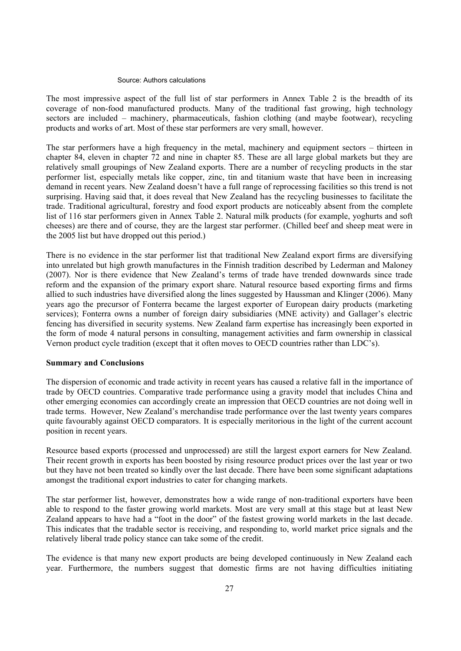#### Source: Authors calculations

The most impressive aspect of the full list of star performers in Annex Table 2 is the breadth of its coverage of non-food manufactured products. Many of the traditional fast growing, high technology sectors are included – machinery, pharmaceuticals, fashion clothing (and maybe footwear), recycling products and works of art. Most of these star performers are very small, however.

The star performers have a high frequency in the metal, machinery and equipment sectors – thirteen in chapter 84, eleven in chapter 72 and nine in chapter 85. These are all large global markets but they are relatively small groupings of New Zealand exports. There are a number of recycling products in the star performer list, especially metals like copper, zinc, tin and titanium waste that have been in increasing demand in recent years. New Zealand doesn't have a full range of reprocessing facilities so this trend is not surprising. Having said that, it does reveal that New Zealand has the recycling businesses to facilitate the trade. Traditional agricultural, forestry and food export products are noticeably absent from the complete list of 116 star performers given in Annex Table 2. Natural milk products (for example, yoghurts and soft cheeses) are there and of course, they are the largest star performer. (Chilled beef and sheep meat were in the 2005 list but have dropped out this period.)

There is no evidence in the star performer list that traditional New Zealand export firms are diversifying into unrelated but high growth manufactures in the Finnish tradition described by Lederman and Maloney (2007). Nor is there evidence that New Zealand's terms of trade have trended downwards since trade reform and the expansion of the primary export share. Natural resource based exporting firms and firms allied to such industries have diversified along the lines suggested by Haussman and Klinger (2006). Many years ago the precursor of Fonterra became the largest exporter of European dairy products (marketing services); Fonterra owns a number of foreign dairy subsidiaries (MNE activity) and Gallager's electric fencing has diversified in security systems. New Zealand farm expertise has increasingly been exported in the form of mode 4 natural persons in consulting, management activities and farm ownership in classical Vernon product cycle tradition (except that it often moves to OECD countries rather than LDC's).

#### **Summary and Conclusions**

The dispersion of economic and trade activity in recent years has caused a relative fall in the importance of trade by OECD countries. Comparative trade performance using a gravity model that includes China and other emerging economies can accordingly create an impression that OECD countries are not doing well in trade terms. However, New Zealand's merchandise trade performance over the last twenty years compares quite favourably against OECD comparators. It is especially meritorious in the light of the current account position in recent years.

Resource based exports (processed and unprocessed) are still the largest export earners for New Zealand. Their recent growth in exports has been boosted by rising resource product prices over the last year or two but they have not been treated so kindly over the last decade. There have been some significant adaptations amongst the traditional export industries to cater for changing markets.

The star performer list, however, demonstrates how a wide range of non-traditional exporters have been able to respond to the faster growing world markets. Most are very small at this stage but at least New Zealand appears to have had a "foot in the door" of the fastest growing world markets in the last decade. This indicates that the tradable sector is receiving, and responding to, world market price signals and the relatively liberal trade policy stance can take some of the credit.

The evidence is that many new export products are being developed continuously in New Zealand each year. Furthermore, the numbers suggest that domestic firms are not having difficulties initiating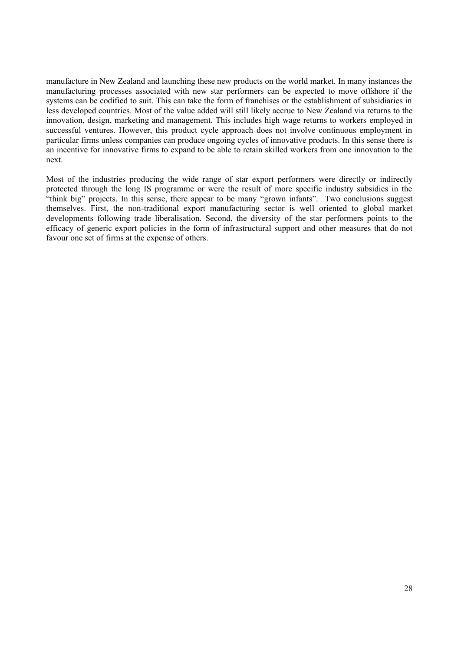manufacture in New Zealand and launching these new products on the world market. In many instances the manufacturing processes associated with new star performers can be expected to move offshore if the systems can be codified to suit. This can take the form of franchises or the establishment of subsidiaries in less developed countries. Most of the value added will still likely accrue to New Zealand via returns to the innovation, design, marketing and management. This includes high wage returns to workers employed in successful ventures. However, this product cycle approach does not involve continuous employment in particular firms unless companies can produce ongoing cycles of innovative products. In this sense there is an incentive for innovative firms to expand to be able to retain skilled workers from one innovation to the next.

Most of the industries producing the wide range of star export performers were directly or indirectly protected through the long IS programme or were the result of more specific industry subsidies in the "think big" projects. In this sense, there appear to be many "grown infants". Two conclusions suggest themselves. First, the non-traditional export manufacturing sector is well oriented to global market developments following trade liberalisation. Second, the diversity of the star performers points to the efficacy of generic export policies in the form of infrastructural support and other measures that do not favour one set of firms at the expense of others.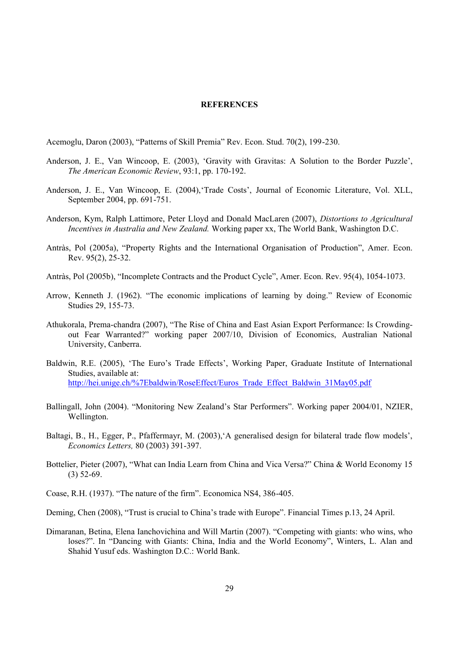#### **REFERENCES**

Acemoglu, Daron (2003), "Patterns of Skill Premia" Rev. Econ. Stud. 70(2), 199-230.

- Anderson, J. E., Van Wincoop, E. (2003), 'Gravity with Gravitas: A Solution to the Border Puzzle', *The American Economic Review*, 93:1, pp. 170-192.
- Anderson, J. E., Van Wincoop, E. (2004),'Trade Costs', Journal of Economic Literature, Vol. XLL, September 2004, pp. 691-751.
- Anderson, Kym, Ralph Lattimore, Peter Lloyd and Donald MacLaren (2007), *Distortions to Agricultural Incentives in Australia and New Zealand.* Working paper xx, The World Bank, Washington D.C.
- Antràs, Pol (2005a), "Property Rights and the International Organisation of Production", Amer. Econ. Rev. 95(2), 25-32.
- Antràs, Pol (2005b), "Incomplete Contracts and the Product Cycle", Amer. Econ. Rev. 95(4), 1054-1073.
- Arrow, Kenneth J. (1962). "The economic implications of learning by doing." Review of Economic Studies 29, 155-73.
- Athukorala, Prema-chandra (2007), "The Rise of China and East Asian Export Performance: Is Crowdingout Fear Warranted?" working paper 2007/10, Division of Economics, Australian National University, Canberra.
- Baldwin, R.E. (2005), 'The Euro's Trade Effects', Working Paper, Graduate Institute of International Studies, available at: http://hei.unige.ch/%7Ebaldwin/RoseEffect/Euros\_Trade\_Effect\_Baldwin\_31May05.pdf
- Ballingall, John (2004). "Monitoring New Zealand's Star Performers". Working paper 2004/01, NZIER, Wellington.
- Baltagi, B., H., Egger, P., Pfaffermayr, M. (2003),'A generalised design for bilateral trade flow models', *Economics Letters,* 80 (2003) 391-397.
- Bottelier, Pieter (2007), "What can India Learn from China and Vica Versa?" China & World Economy 15 (3) 52-69.
- Coase, R.H. (1937). "The nature of the firm". Economica NS4, 386-405.
- Deming, Chen (2008), "Trust is crucial to China's trade with Europe". Financial Times p.13, 24 April.
- Dimaranan, Betina, Elena Ianchovichina and Will Martin (2007). "Competing with giants: who wins, who loses?". In "Dancing with Giants: China, India and the World Economy", Winters, L. Alan and Shahid Yusuf eds. Washington D.C.: World Bank.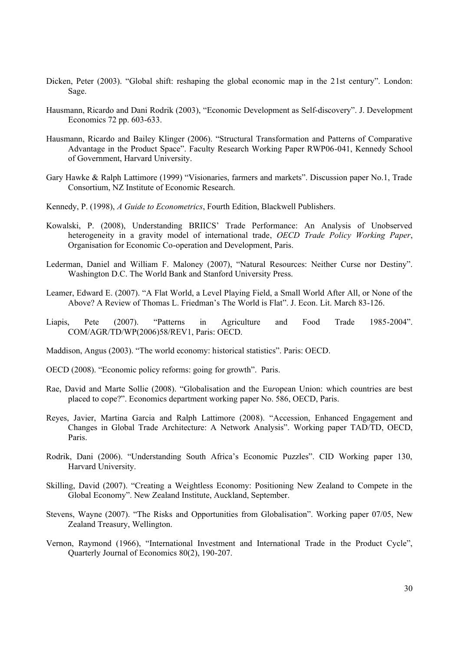- Dicken, Peter (2003). "Global shift: reshaping the global economic map in the 21st century". London: Sage.
- Hausmann, Ricardo and Dani Rodrik (2003), "Economic Development as Self-discovery". J. Development Economics 72 pp. 603-633.
- Hausmann, Ricardo and Bailey Klinger (2006). "Structural Transformation and Patterns of Comparative Advantage in the Product Space". Faculty Research Working Paper RWP06-041, Kennedy School of Government, Harvard University.
- Gary Hawke & Ralph Lattimore (1999) "Visionaries, farmers and markets". Discussion paper No.1, Trade Consortium, NZ Institute of Economic Research.
- Kennedy, P. (1998), *A Guide to Econometrics*, Fourth Edition, Blackwell Publishers.
- Kowalski, P. (2008), Understanding BRIICS' Trade Performance: An Analysis of Unobserved heterogeneity in a gravity model of international trade, *OECD Trade Policy Working Paper*, Organisation for Economic Co-operation and Development, Paris.
- Lederman, Daniel and William F. Maloney (2007), "Natural Resources: Neither Curse nor Destiny". Washington D.C. The World Bank and Stanford University Press.
- Leamer, Edward E. (2007). "A Flat World, a Level Playing Field, a Small World After All, or None of the Above? A Review of Thomas L. Friedman's The World is Flat". J. Econ. Lit. March 83-126.
- Liapis, Pete (2007). "Patterns in Agriculture and Food Trade 1985-2004". COM/AGR/TD/WP(2006)58/REV1, Paris: OECD.
- Maddison, Angus (2003). "The world economy: historical statistics". Paris: OECD.
- OECD (2008). "Economic policy reforms: going for growth". Paris.
- Rae, David and Marte Sollie (2008). "Globalisation and the Eu*r*opean Union: which countries are best placed to cope?". Economics department working paper No. 586, OECD, Paris.
- Reyes, Javier, Martina Garcia and Ralph Lattimore (2008). "Accession, Enhanced Engagement and Changes in Global Trade Architecture: A Network Analysis". Working paper TAD/TD, OECD, Paris.
- Rodrik, Dani (2006). "Understanding South Africa's Economic Puzzles". CID Working paper 130, Harvard University.
- Skilling, David (2007). "Creating a Weightless Economy: Positioning New Zealand to Compete in the Global Economy". New Zealand Institute, Auckland, September.
- Stevens, Wayne (2007). "The Risks and Opportunities from Globalisation". Working paper 07/05, New Zealand Treasury, Wellington.
- Vernon, Raymond (1966), "International Investment and International Trade in the Product Cycle", Quarterly Journal of Economics 80(2), 190-207.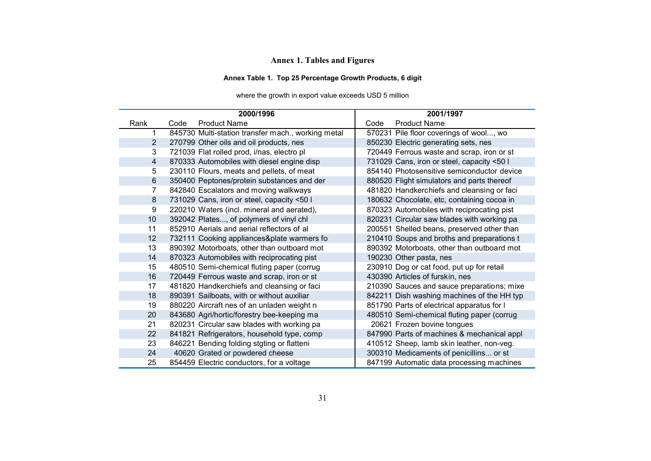# **Annex 1. Tables and Figures**

# **Annex Table 1. Top 25 Percentage Growth Products, 6 digit**

# where the growth in export value exceeds USD 5 million

|      | 2000/1996                                          | 2001/1997                                  |
|------|----------------------------------------------------|--------------------------------------------|
| Rank | <b>Product Name</b><br>Code                        | <b>Product Name</b><br>Code                |
|      | 845730 Multi-station transfer mach., working metal | 570231 Pile floor coverings of wool, wo    |
| 2    | 270799 Other oils and oil products, nes            | 850230 Electric generating sets, nes       |
| 3    | 721039 Flat rolled prod, i/nas, electro pl         | 720449 Ferrous waste and scrap, iron or st |
| 4    | 870333 Automobiles with diesel engine disp         | 731029 Cans, iron or steel, capacity <50 l |
| 5    | 230110 Flours, meats and pellets, of meat          | 854140 Photosensitive semiconductor device |
| 6    | 350400 Peptones/protein substances and der         | 880520 Flight simulators and parts thereof |
| 7    | 842840 Escalators and moving walkways              | 481820 Handkerchiefs and cleansing or faci |
| 8    | 731029 Cans, iron or steel, capacity <50 l         | 180632 Chocolate, etc, containing cocoa in |
| 9    | 220210 Waters (incl. mineral and aerated),         | 870323 Automobiles with reciprocating pist |
| 10   | 392042 Plates, of polymers of vinyl chl            | 820231 Circular saw blades with working pa |
| 11   | 852910 Aerials and aerial reflectors of all        | 200551 Shelled beans, preserved other than |
| 12   | 732111 Cooking appliances&plate warmers fo         | 210410 Soups and broths and preparations t |
| 13   | 890392 Motorboats, other than outboard mot         | 890392 Motorboats, other than outboard mot |
| 14   | 870323 Automobiles with reciprocating pist         | 190230 Other pasta, nes                    |
| 15   | 480510 Semi-chemical fluting paper (corrug         | 230910 Dog or cat food, put up for retail  |
| 16   | 720449 Ferrous waste and scrap, iron or st         | 430390 Articles of furskin, nes            |
| 17   | 481820 Handkerchiefs and cleansing or faci         | 210390 Sauces and sauce preparations; mixe |
| 18   | 890391 Sailboats, with or without auxiliar         | 842211 Dish washing machines of the HH typ |
| 19   | 880220 Aircraft nes of an unladen weight n         | 851790 Parts of electrical apparatus for I |
| 20   | 843680 Agri/hortic/forestry bee-keeping ma         | 480510 Semi-chemical fluting paper (corrug |
| 21   | 820231 Circular saw blades with working pa         | 20621 Frozen bovine tongues                |
| 22   | 841821 Refrigerators, household type, comp         | 847990 Parts of machines & mechanical appl |
| 23   | 846221 Bending folding stgting or flatteni         | 410512 Sheep, lamb skin leather, non-veg.  |
| 24   | 40620 Grated or powdered cheese                    | 300310 Medicaments of penicillins or st    |
| 25   | 854459 Electric conductors, for a voltage          | 847199 Automatic data processing machines  |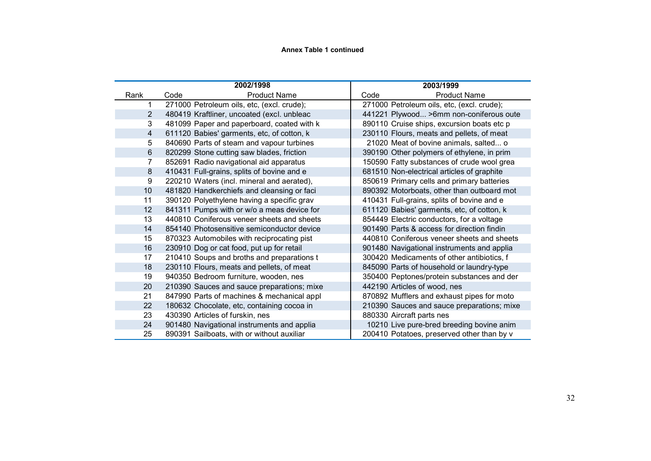#### **Annex Table 1 continued**

|      |      | 2002/1998                                  |      | 2003/1999                                  |
|------|------|--------------------------------------------|------|--------------------------------------------|
| Rank | Code | <b>Product Name</b>                        | Code | <b>Product Name</b>                        |
|      |      | 271000 Petroleum oils, etc, (excl. crude); |      | 271000 Petroleum oils, etc, (excl. crude); |
| 2    |      | 480419 Kraftliner, uncoated (excl. unbleac |      | 441221 Plywood >6mm non-coniferous oute    |
| 3    |      | 481099 Paper and paperboard, coated with k |      | 890110 Cruise ships, excursion boats etc p |
| 4    |      | 611120 Babies' garments, etc, of cotton, k |      | 230110 Flours, meats and pellets, of meat  |
| 5    |      | 840690 Parts of steam and vapour turbines  |      | 21020 Meat of bovine animals, salted o     |
| 6    |      | 820299 Stone cutting saw blades, friction  |      | 390190 Other polymers of ethylene, in prim |
| 7    |      | 852691 Radio navigational aid apparatus    |      | 150590 Fatty substances of crude wool grea |
| 8    |      | 410431 Full-grains, splits of bovine and e |      | 681510 Non-electrical articles of graphite |
| 9    |      | 220210 Waters (incl. mineral and aerated), |      | 850619 Primary cells and primary batteries |
| 10   |      | 481820 Handkerchiefs and cleansing or faci |      | 890392 Motorboats, other than outboard mot |
| 11   |      | 390120 Polyethylene having a specific grav |      | 410431 Full-grains, splits of bovine and e |
| 12   |      | 841311 Pumps with or w/o a meas device for |      | 611120 Babies' garments, etc, of cotton, k |
| 13   |      | 440810 Coniferous veneer sheets and sheets |      | 854449 Electric conductors, for a voltage  |
| 14   |      | 854140 Photosensitive semiconductor device |      | 901490 Parts & access for direction findin |
| 15   |      | 870323 Automobiles with reciprocating pist |      | 440810 Coniferous veneer sheets and sheets |
| 16   |      | 230910 Dog or cat food, put up for retail  |      | 901480 Navigational instruments and applia |
| 17   |      | 210410 Soups and broths and preparations t |      | 300420 Medicaments of other antibiotics, f |
| 18   |      | 230110 Flours, meats and pellets, of meat  |      | 845090 Parts of household or laundry-type  |
| 19   |      | 940350 Bedroom furniture, wooden, nes      |      | 350400 Peptones/protein substances and der |
| 20   |      | 210390 Sauces and sauce preparations; mixe |      | 442190 Articles of wood, nes               |
| 21   |      | 847990 Parts of machines & mechanical appl |      | 870892 Mufflers and exhaust pipes for moto |
| 22   |      | 180632 Chocolate, etc, containing cocoa in |      | 210390 Sauces and sauce preparations; mixe |
| 23   |      | 430390 Articles of furskin, nes            |      | 880330 Aircraft parts nes                  |
| 24   |      | 901480 Navigational instruments and applia |      | 10210 Live pure-bred breeding bovine anim  |
| 25   |      | 890391 Sailboats, with or without auxiliar |      | 200410 Potatoes, preserved other than by v |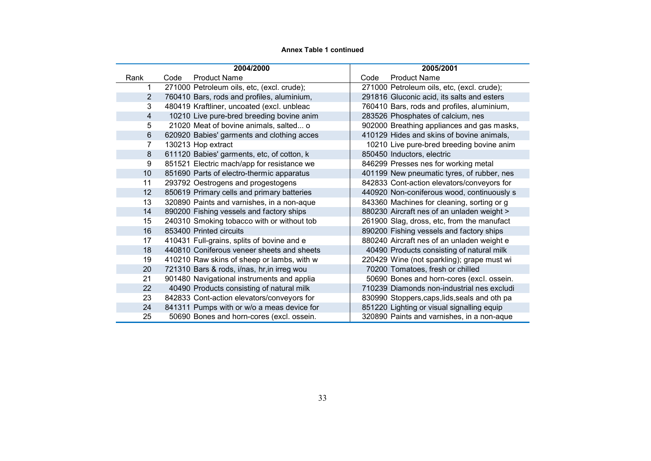#### **Annex Table 1 continued**

|      |      | 2004/2000                                   |      | 2005/2001                                     |
|------|------|---------------------------------------------|------|-----------------------------------------------|
| Rank | Code | <b>Product Name</b>                         | Code | <b>Product Name</b>                           |
|      |      | 271000 Petroleum oils, etc, (excl. crude);  |      | 271000 Petroleum oils, etc, (excl. crude);    |
| 2    |      | 760410 Bars, rods and profiles, aluminium,  |      | 291816 Gluconic acid, its salts and esters    |
| 3    |      | 480419 Kraftliner, uncoated (excl. unbleac  |      | 760410 Bars, rods and profiles, aluminium,    |
| 4    |      | 10210 Live pure-bred breeding bovine anim   |      | 283526 Phosphates of calcium, nes             |
| 5    |      | 21020 Meat of bovine animals, salted o      |      | 902000 Breathing appliances and gas masks,    |
| 6    |      | 620920 Babies' garments and clothing acces  |      | 410129 Hides and skins of bovine animals,     |
| 7    |      | 130213 Hop extract                          |      | 10210 Live pure-bred breeding bovine anim     |
| 8    |      | 611120 Babies' garments, etc, of cotton, k  |      | 850450 Inductors, electric                    |
| 9    |      | 851521 Electric mach/app for resistance we  |      | 846299 Presses nes for working metal          |
| 10   |      | 851690 Parts of electro-thermic apparatus   |      | 401199 New pneumatic tyres, of rubber, nes    |
| 11   |      | 293792 Oestrogens and progestogens          |      | 842833 Cont-action elevators/conveyors for    |
| 12   |      | 850619 Primary cells and primary batteries  |      | 440920 Non-coniferous wood, continuously s    |
| 13   |      | 320890 Paints and varnishes, in a non-aque  |      | 843360 Machines for cleaning, sorting or g    |
| 14   |      | 890200 Fishing vessels and factory ships    |      | 880230 Aircraft nes of an unladen weight >    |
| 15   |      | 240310 Smoking tobacco with or without tob  |      | 261900 Slag, dross, etc, from the manufact    |
| 16   |      | 853400 Printed circuits                     |      | 890200 Fishing vessels and factory ships      |
| 17   |      | 410431 Full-grains, splits of bovine and e  |      | 880240 Aircraft nes of an unladen weight e    |
| 18   |      | 440810 Coniferous veneer sheets and sheets  |      | 40490 Products consisting of natural milk     |
| 19   |      | 410210 Raw skins of sheep or lambs, with w  |      | 220429 Wine (not sparkling); grape must wi    |
| 20   |      | 721310 Bars & rods, i/nas, hr, in irreg wou |      | 70200 Tomatoes, fresh or chilled              |
| 21   |      | 901480 Navigational instruments and applia  |      | 50690 Bones and horn-cores (excl. ossein.     |
| 22   |      | 40490 Products consisting of natural milk   |      | 710239 Diamonds non-industrial nes excludi    |
| 23   |      | 842833 Cont-action elevators/conveyors for  |      | 830990 Stoppers, caps, lids, seals and oth pa |
| 24   |      | 841311 Pumps with or w/o a meas device for  |      | 851220 Lighting or visual signalling equip    |
| 25   |      | 50690 Bones and horn-cores (excl. ossein.   |      | 320890 Paints and varnishes, in a non-aque    |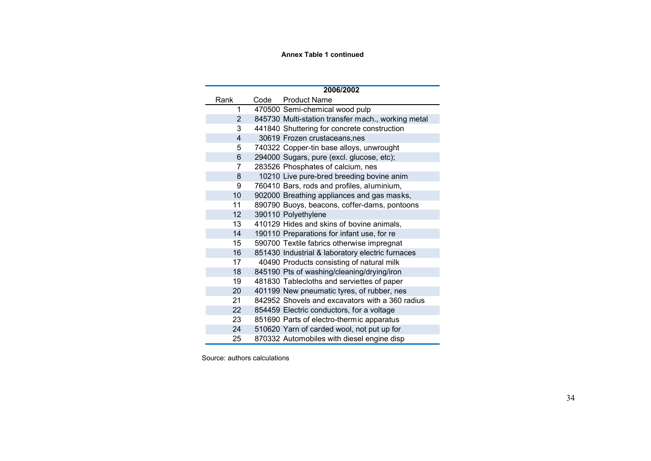#### **Annex Table 1 continued**

|                 |      | 2006/2002                                          |
|-----------------|------|----------------------------------------------------|
| Rank            | Code | <b>Product Name</b>                                |
| 1               |      | 470500 Semi-chemical wood pulp                     |
| $\overline{2}$  |      | 845730 Multi-station transfer mach., working metal |
| 3               |      | 441840 Shuttering for concrete construction        |
| 4               |      | 30619 Frozen crustaceans, nes                      |
| 5               |      | 740322 Copper-tin base alloys, unwrought           |
| 6               |      | 294000 Sugars, pure (excl. glucose, etc);          |
| 7               |      | 283526 Phosphates of calcium, nes                  |
| 8               |      | 10210 Live pure-bred breeding bovine anim          |
| 9               |      | 760410 Bars, rods and profiles, aluminium,         |
| 10              |      | 902000 Breathing appliances and gas masks,         |
| 11              |      | 890790 Buoys, beacons, coffer-dams, pontoons       |
| 12 <sup>2</sup> |      | 390110 Polyethylene                                |
| 13              |      | 410129 Hides and skins of bovine animals,          |
| 14              |      | 190110 Preparations for infant use, for re         |
| 15              |      | 590700 Textile fabrics otherwise impregnat         |
| 16              |      | 851430 Industrial & laboratory electric furnaces   |
| 17              |      | 40490 Products consisting of natural milk          |
| 18              |      | 845190 Pts of washing/cleaning/drying/iron         |
| 19              |      | 481830 Tablecloths and serviettes of paper         |
| 20              |      | 401199 New pneumatic tyres, of rubber, nes         |
| 21              |      | 842952 Shovels and excavators with a 360 radius    |
| 22              |      | 854459 Electric conductors, for a voltage          |
| 23              |      | 851690 Parts of electro-thermic apparatus          |
| 24              |      | 510620 Yarn of carded wool, not put up for         |
| 25              |      | 870332 Automobiles with diesel engine disp         |

Source: authors calculations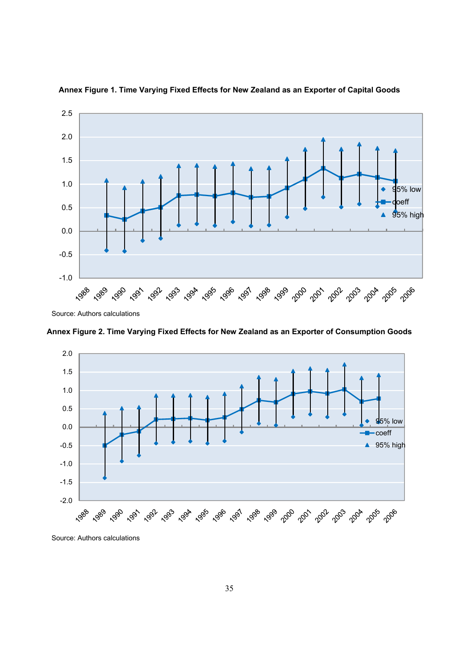

**Annex Figure 1. Time Varying Fixed Effects for New Zealand as an Exporter of Capital Goods**

Source: Authors calculations

**Annex Figure 2. Time Varying Fixed Effects for New Zealand as an Exporter of Consumption Goods**



Source: Authors calculations